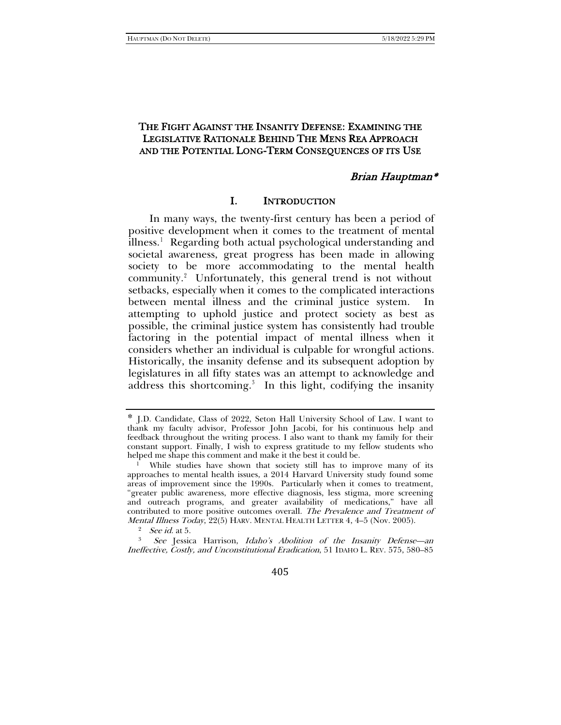# THE FIGHT AGAINST THE INSANITY DEFENSE: EXAMINING THE LEGISLATIVE RATIONALE BEHIND THE MENS REA APPROACH AND THE POTENTIAL LONG-TERM CONSEQUENCES OF ITS USE

## Brian Hauptman\*

## I. INTRODUCTION

In many ways, the twenty-first century has been a period of positive development when it comes to the treatment of mental illness.<sup>[1](#page-0-0)</sup> Regarding both actual psychological understanding and societal awareness, great progress has been made in allowing society to be more accommodating to the mental health community.[2](#page-0-1) Unfortunately, this general trend is not without setbacks, especially when it comes to the complicated interactions between mental illness and the criminal justice system. In attempting to uphold justice and protect society as best as possible, the criminal justice system has consistently had trouble factoring in the potential impact of mental illness when it considers whether an individual is culpable for wrongful actions. Historically, the insanity defense and its subsequent adoption by legislatures in all fifty states was an attempt to acknowledge and address this shortcoming.<sup>[3](#page-0-2)</sup> In this light, codifying the insanity

 $2$  See id. at 5.

<span id="page-0-2"></span><span id="page-0-1"></span><sup>3</sup> See Jessica Harrison, Idaho's Abolition of the Insanity Defense—an Ineffective, Costly, and Unconstitutional Eradication, 51 IDAHO L. REV. 575, 580–85

405

<span id="page-0-3"></span><span id="page-0-0"></span><sup>\*</sup> J.D. Candidate, Class of 2022, Seton Hall University School of Law. I want to thank my faculty advisor, Professor John Jacobi, for his continuous help and feedback throughout the writing process. I also want to thank my family for their constant support. Finally, I wish to express gratitude to my fellow students who helped me shape this comment and make it the best it could be.

 <sup>1</sup> While studies have shown that society still has to improve many of its approaches to mental health issues, a 2014 Harvard University study found some areas of improvement since the 1990s. Particularly when it comes to treatment, "greater public awareness, more effective diagnosis, less stigma, more screening and outreach programs, and greater availability of medications," have all contributed to more positive outcomes overall. The Prevalence and Treatment of Mental Illness Today, 22(5) HARV. MENTAL HEALTH LETTER 4, 4-5 (Nov. 2005).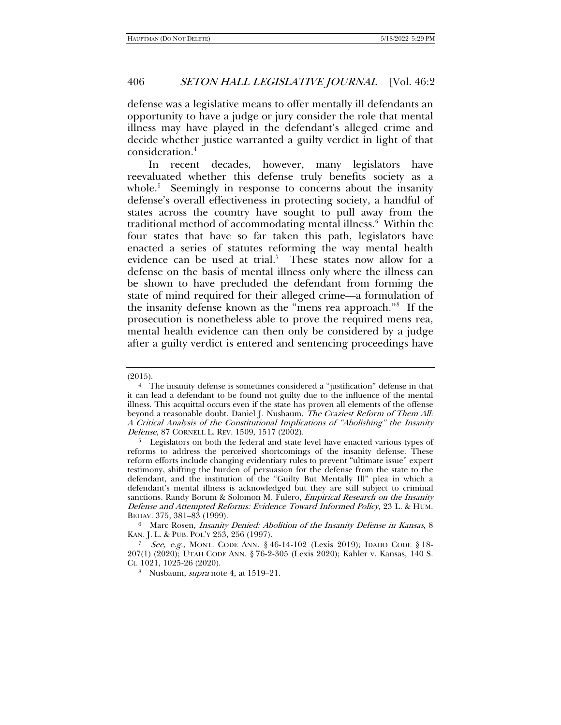defense was a legislative means to offer mentally ill defendants an opportunity to have a judge or jury consider the role that mental illness may have played in the defendant's alleged crime and decide whether justice warranted a guilty verdict in light of that consideration.[4](#page-1-1)

<span id="page-1-7"></span><span id="page-1-6"></span><span id="page-1-0"></span>In recent decades, however, many legislators have reevaluated whether this defense truly benefits society as a whole.<sup>[5](#page-1-2)</sup> Seemingly in response to concerns about the insanity defense's overall effectiveness in protecting society, a handful of states across the country have sought to pull away from the traditional method of accommodating mental illness.<sup>[6](#page-1-3)</sup> Within the four states that have so far taken this path, legislators have enacted a series of statutes reforming the way mental health evidence can be used at trial.<sup>[7](#page-1-4)</sup> These states now allow for a defense on the basis of mental illness only where the illness can be shown to have precluded the defendant from forming the state of mind required for their alleged crime—a formulation of the insanity defense known as the "mens rea approach."[8](#page-1-5) If the prosecution is nonetheless able to prove the required mens rea, mental health evidence can then only be considered by a judge after a guilty verdict is entered and sentencing proceedings have

<sup>(2015).</sup>

<span id="page-1-1"></span><sup>4</sup> The insanity defense is sometimes considered a "justification" defense in that it can lead a defendant to be found not guilty due to the influence of the mental illness. This acquittal occurs even if the state has proven all elements of the offense beyond a reasonable doubt. Daniel J. Nusbaum, The Craziest Reform of Them All: A Critical Analysis of the Constitutional Implications of "Abolishing" the Insanity Defense, 87 CORNELL L. REV. 1509, 1517 (2002).

<span id="page-1-2"></span><sup>&</sup>lt;sup>5</sup> Legislators on both the federal and state level have enacted various types of reforms to address the perceived shortcomings of the insanity defense. These reform efforts include changing evidentiary rules to prevent "ultimate issue" expert testimony, shifting the burden of persuasion for the defense from the state to the defendant, and the institution of the "Guilty But Mentally Ill" plea in which a defendant's mental illness is acknowledged but they are still subject to criminal sanctions. Randy Borum & Solomon M. Fulero, *Empirical Research on the Insanity* Defense and Attempted Reforms: Evidence Toward Informed Policy, 23 L. & HUM. BEHAV. 375, 381–83 (1999).

<span id="page-1-3"></span><sup>6</sup> Marc Rosen, Insanity Denied: Abolition of the Insanity Defense in Kansas, 8 KAN. J. L. & PUB. POL'Y 253, 256 (1997).

<span id="page-1-5"></span><span id="page-1-4"></span><sup>7</sup> See, e.g., MONT. CODE ANN. § 46-14-102 (Lexis 2019); IDAHO CODE § 18- 207(1) (2020); UTAH CODE ANN. § 76-2-305 (Lexis 2020); Kahler v. Kansas, 140 S. Ct. 1021, 1025-26 (2020).

<sup>8</sup> Nusbaum, supra not[e 4,](#page-1-0) at 1519–21.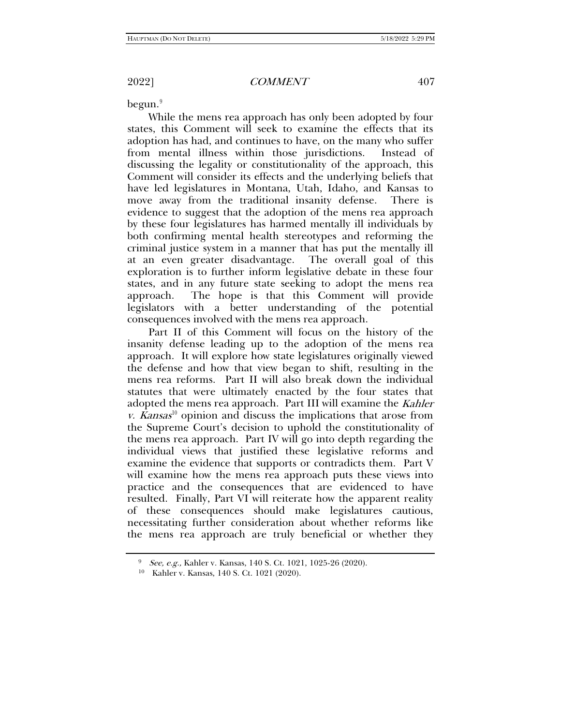$begincdot$ <sup>[9](#page-2-0)</sup>

While the mens rea approach has only been adopted by four states, this Comment will seek to examine the effects that its adoption has had, and continues to have, on the many who suffer from mental illness within those jurisdictions. Instead of discussing the legality or constitutionality of the approach, this Comment will consider its effects and the underlying beliefs that have led legislatures in Montana, Utah, Idaho, and Kansas to move away from the traditional insanity defense. There is evidence to suggest that the adoption of the mens rea approach by these four legislatures has harmed mentally ill individuals by both confirming mental health stereotypes and reforming the criminal justice system in a manner that has put the mentally ill at an even greater disadvantage. The overall goal of this exploration is to further inform legislative debate in these four states, and in any future state seeking to adopt the mens rea approach. The hope is that this Comment will provide legislators with a better understanding of the potential consequences involved with the mens rea approach.

Part II of this Comment will focus on the history of the insanity defense leading up to the adoption of the mens rea approach. It will explore how state legislatures originally viewed the defense and how that view began to shift, resulting in the mens rea reforms. Part II will also break down the individual statutes that were ultimately enacted by the four states that adopted the mens rea approach. Part III will examine the Kahler *v. Kansas*<sup>[10](#page-2-1)</sup> opinion and discuss the implications that arose from the Supreme Court's decision to uphold the constitutionality of the mens rea approach. Part IV will go into depth regarding the individual views that justified these legislative reforms and examine the evidence that supports or contradicts them. Part V will examine how the mens rea approach puts these views into practice and the consequences that are evidenced to have resulted. Finally, Part VI will reiterate how the apparent reality of these consequences should make legislatures cautious, necessitating further consideration about whether reforms like the mens rea approach are truly beneficial or whether they

<span id="page-2-1"></span><span id="page-2-0"></span><sup>&</sup>lt;sup>9</sup> See, e.g., Kahler v. Kansas, 140 S. Ct. 1021, 1025-26 (2020).

<sup>10</sup> Kahler v. Kansas, 140 S. Ct. 1021 (2020).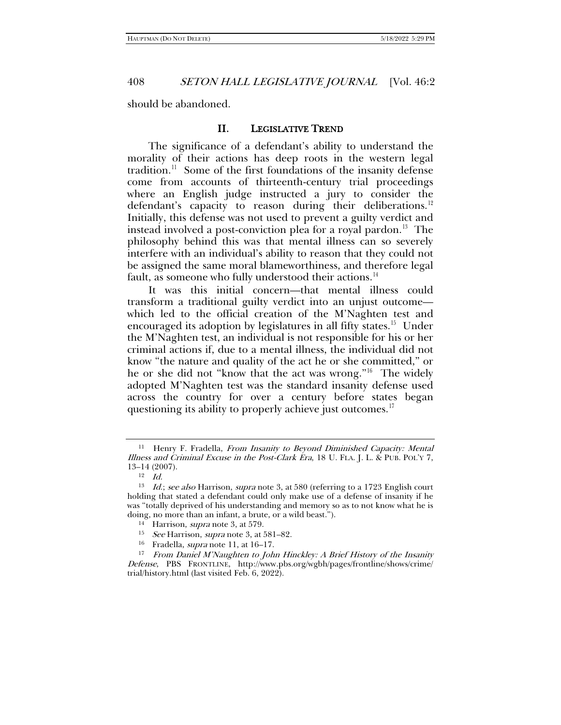should be abandoned.

### II. LEGISLATIVE TREND

<span id="page-3-0"></span>The significance of a defendant's ability to understand the morality of their actions has deep roots in the western legal tradition.<sup>[11](#page-3-1)</sup> Some of the first foundations of the insanity defense come from accounts of thirteenth-century trial proceedings where an English judge instructed a jury to consider the defendant's capacity to reason during their deliberations.<sup>[12](#page-3-2)</sup> Initially, this defense was not used to prevent a guilty verdict and instead involved a post-conviction plea for a royal pardon.<sup>[13](#page-3-3)</sup> The philosophy behind this was that mental illness can so severely interfere with an individual's ability to reason that they could not be assigned the same moral blameworthiness, and therefore legal fault, as someone who fully understood their actions.<sup>[14](#page-3-4)</sup>

It was this initial concern—that mental illness could transform a traditional guilty verdict into an unjust outcome which led to the official creation of the M'Naghten test and encouraged its adoption by legislatures in all fifty states.<sup>[15](#page-3-5)</sup> Under the M'Naghten test, an individual is not responsible for his or her criminal actions if, due to a mental illness, the individual did not know "the nature and quality of the act he or she committed," or he or she did not "know that the act was wrong."<sup>[16](#page-3-6)</sup> The widely adopted M'Naghten test was the standard insanity defense used across the country for over a century before states began questioning its ability to properly achieve just outcomes.<sup>[17](#page-3-7)</sup>

<span id="page-3-1"></span><sup>&</sup>lt;sup>11</sup> Henry F. Fradella, *From Insanity to Beyond Diminished Capacity: Mental* Illness and Criminal Excuse in the Post-Clark Era, 18 U. FLA. J. L. & PUB. POL'Y 7, 13–14 (2007).

<span id="page-3-8"></span><sup>12</sup> Id.

<span id="page-3-3"></span><span id="page-3-2"></span><sup>&</sup>lt;sup>13</sup> Id.; see also Harrison, supra not[e 3,](#page-0-3) at 580 (referring to a 1723 English court holding that stated a defendant could only make use of a defense of insanity if he was "totally deprived of his understanding and memory so as to not know what he is doing, no more than an infant, a brute, or a wild beast.").

<sup>&</sup>lt;sup>14</sup> Harrison, *supra* not[e 3,](#page-0-3) at 579.

<sup>&</sup>lt;sup>15</sup> See Harrison, supra note [3,](#page-0-3) at 581–82.

<sup>16</sup> Fradella, supra not[e 11,](#page-3-0) at 16–17.

<span id="page-3-7"></span><span id="page-3-6"></span><span id="page-3-5"></span><span id="page-3-4"></span><sup>&</sup>lt;sup>17</sup> From Daniel M'Naughten to John Hinckley: A Brief History of the Insanity Defense, PBS FRONTLINE, http://www.pbs.org/wgbh/pages/frontline/shows/crime/ trial/history.html (last visited Feb. 6, 2022).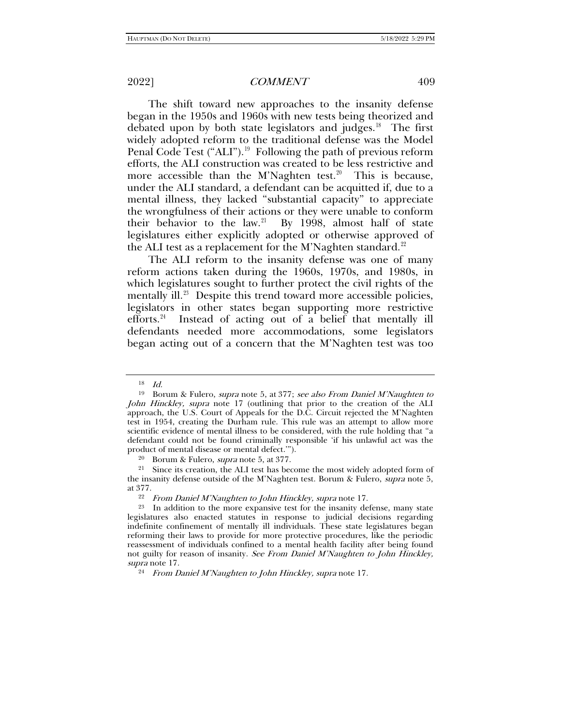The shift toward new approaches to the insanity defense began in the 1950s and 1960s with new tests being theorized and debated upon by both state legislators and judges.<sup>[18](#page-4-0)</sup> The first widely adopted reform to the traditional defense was the Model Penal Code Test ("ALI").<sup>19</sup> Following the path of previous reform efforts, the ALI construction was created to be less restrictive and more accessible than the M'Naghten test.<sup>[20](#page-4-2)</sup> This is because, under the ALI standard, a defendant can be acquitted if, due to a mental illness, they lacked "substantial capacity" to appreciate the wrongfulness of their actions or they were unable to conform their behavior to the law. $21$  By 1998, almost half of state legislatures either explicitly adopted or otherwise approved of the ALI test as a replacement for the M'Naghten standard.<sup>[22](#page-4-4)</sup>

The ALI reform to the insanity defense was one of many reform actions taken during the 1960s, 1970s, and 1980s, in which legislatures sought to further protect the civil rights of the mentally ill.<sup>[23](#page-4-5)</sup> Despite this trend toward more accessible policies, legislators in other states began supporting more restrictive efforts. $24$  Instead of acting out of a belief that mentally ill defendants needed more accommodations, some legislators began acting out of a concern that the M'Naghten test was too

<span id="page-4-6"></span><sup>24</sup> From Daniel M'Naughten to John Hinckley, supra not[e 17](#page-3-8).

<sup>18</sup> Id.

<span id="page-4-1"></span><span id="page-4-0"></span><sup>&</sup>lt;sup>19</sup> Borum & Fulero, supra note [5,](#page-1-6) at 377; see also From Daniel M'Naughten to John Hinckley, supra note [17](#page-3-8) (outlining that prior to the creation of the ALI approach, the U.S. Court of Appeals for the D.C. Circuit rejected the M'Naghten test in 1954, creating the Durham rule. This rule was an attempt to allow more scientific evidence of mental illness to be considered, with the rule holding that "a defendant could not be found criminally responsible 'if his unlawful act was the product of mental disease or mental defect.'").

<sup>&</sup>lt;sup>20</sup> Borum & Fulero, *supra* note [5,](#page-1-6) at 377.

<span id="page-4-3"></span><span id="page-4-2"></span><sup>&</sup>lt;sup>21</sup> Since its creation, the ALI test has become the most widely adopted form of the insanity defense outside of the M'Naghten test. Borum & Fulero, supra note [5,](#page-1-6) at 377.

<span id="page-4-5"></span><span id="page-4-4"></span><sup>&</sup>lt;sup>22</sup> From Daniel M'Naughten to John Hinckley, supra not[e 17.](#page-3-8)<br><sup>23</sup> In addition to the more expansive test for the insanity defense, many state legislatures also enacted statutes in response to judicial decisions regarding indefinite confinement of mentally ill individuals. These state legislatures began reforming their laws to provide for more protective procedures, like the periodic reassessment of individuals confined to a mental health facility after being found not guilty for reason of insanity. See From Daniel M'Naughten to John Hinckley, supra note [17](#page-3-8).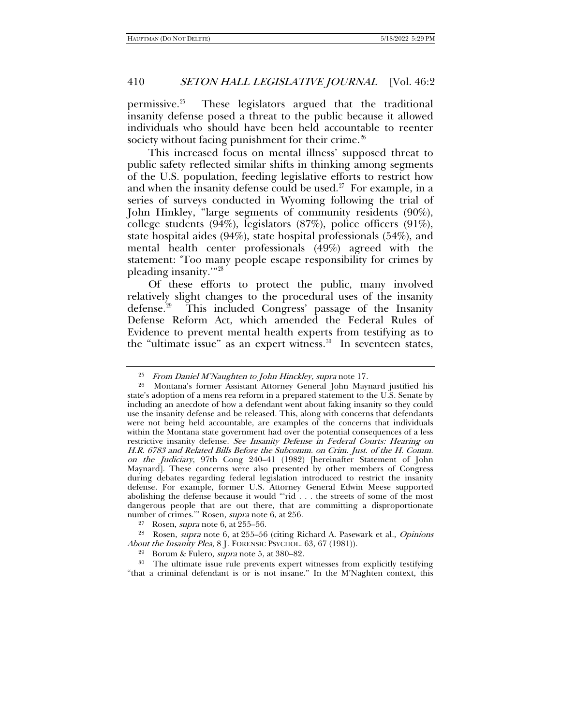permissive.[25](#page-5-0) These legislators argued that the traditional insanity defense posed a threat to the public because it allowed individuals who should have been held accountable to reenter society without facing punishment for their crime. $26$ 

<span id="page-5-6"></span>This increased focus on mental illness' supposed threat to public safety reflected similar shifts in thinking among segments of the U.S. population, feeding legislative efforts to restrict how and when the insanity defense could be used.<sup>27</sup> For example, in a series of surveys conducted in Wyoming following the trial of John Hinkley, "large segments of community residents (90%), college students (94%), legislators (87%), police officers (91%), state hospital aides (94%), state hospital professionals (54%), and mental health center professionals (49%) agreed with the statement: 'Too many people escape responsibility for crimes by pleading insanity.'"[28](#page-5-3)

Of these efforts to protect the public, many involved relatively slight changes to the procedural uses of the insanity defense.[29](#page-5-4) This included Congress' passage of the Insanity Defense Reform Act, which amended the Federal Rules of Evidence to prevent mental health experts from testifying as to the "ultimate issue" as an expert witness. $30$  In seventeen states,

<sup>&</sup>lt;sup>25</sup> From Daniel M'Naughten to John Hinckley, supra not[e 17](#page-3-8).<br><sup>26</sup> Montana's former Assistant Attorney General John Mayı

<span id="page-5-1"></span><span id="page-5-0"></span><sup>26</sup> Montana's former Assistant Attorney General John Maynard justified his state's adoption of a mens rea reform in a prepared statement to the U.S. Senate by including an anecdote of how a defendant went about faking insanity so they could use the insanity defense and be released. This, along with concerns that defendants were not being held accountable, are examples of the concerns that individuals within the Montana state government had over the potential consequences of a less restrictive insanity defense. See Insanity Defense in Federal Courts: Hearing on H.R. 6783 and Related Bills Before the Subcomm. on Crim. Just. of the H. Comm. on the Judiciary, 97th Cong 240–41 (1982) [hereinafter Statement of John Maynard]. These concerns were also presented by other members of Congress during debates regarding federal legislation introduced to restrict the insanity defense. For example, former U.S. Attorney General Edwin Meese supported abolishing the defense because it would "'rid . . . the streets of some of the most dangerous people that are out there, that are committing a disproportionate number of crimes.'" Rosen, supra not[e 6,](#page-1-7) at 256.

 $27$  Rosen, *supra* note [6,](#page-1-7) at 255–56.

<span id="page-5-3"></span><span id="page-5-2"></span><sup>&</sup>lt;sup>28</sup> Rosen, *supra* note [6,](#page-1-7) at 255-56 (citing Richard A. Pasewark et al., *Opinions* About the Insanity Plea, 8 J. FORENSIC PSYCHOL. 63, 67 (1981)).

<sup>29</sup> Borum & Fulero, supra note [5,](#page-1-6) at 380–82.

<span id="page-5-5"></span><span id="page-5-4"></span><sup>&</sup>lt;sup>30</sup> The ultimate issue rule prevents expert witnesses from explicitly testifying "that a criminal defendant is or is not insane." In the M'Naghten context, this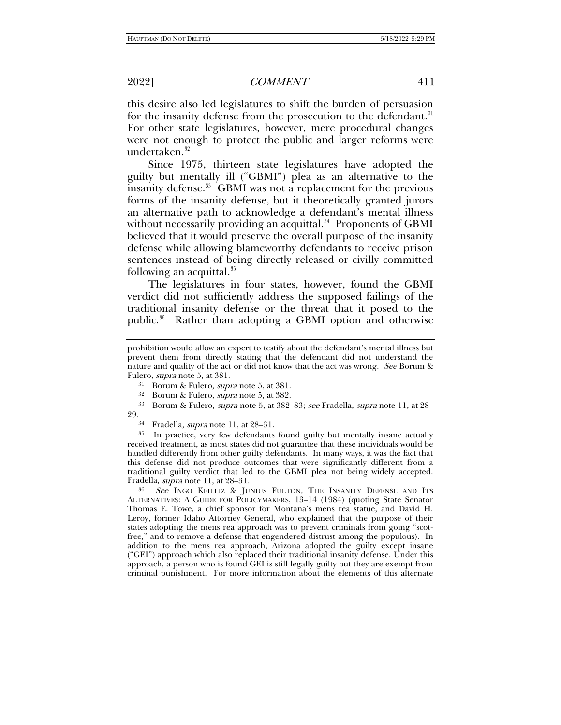this desire also led legislatures to shift the burden of persuasion for the insanity defense from the prosecution to the defendant.<sup>[31](#page-6-0)</sup> For other state legislatures, however, mere procedural changes were not enough to protect the public and larger reforms were undertaken.<sup>[32](#page-6-1)</sup>

Since 1975, thirteen state legislatures have adopted the guilty but mentally ill ("GBMI") plea as an alternative to the insanity defense.<sup>[33](#page-6-2)</sup> GBMI was not a replacement for the previous forms of the insanity defense, but it theoretically granted jurors an alternative path to acknowledge a defendant's mental illness without necessarily providing an acquittal.<sup>34</sup> Proponents of GBMI believed that it would preserve the overall purpose of the insanity defense while allowing blameworthy defendants to receive prison sentences instead of being directly released or civilly committed following an acquittal. $35$ 

The legislatures in four states, however, found the GBMI verdict did not sufficiently address the supposed failings of the traditional insanity defense or the threat that it posed to the public.[36](#page-6-5) Rather than adopting a GBMI option and otherwise

<span id="page-6-4"></span><span id="page-6-3"></span><sup>35</sup> In practice, very few defendants found guilty but mentally insane actually received treatment, as most states did not guarantee that these individuals would be handled differently from other guilty defendants. In many ways, it was the fact that this defense did not produce outcomes that were significantly different from a traditional guilty verdict that led to the GBMI plea not being widely accepted. Fradella, supra not[e 11,](#page-3-0) at 28–31.

<span id="page-6-5"></span><sup>36</sup> See INGO KEILITZ & JUNIUS FULTON, THE INSANITY DEFENSE AND ITS ALTERNATIVES: A GUIDE FOR POLICYMAKERS, 13–14 (1984) (quoting State Senator Thomas E. Towe, a chief sponsor for Montana's mens rea statue, and David H. Leroy, former Idaho Attorney General, who explained that the purpose of their states adopting the mens rea approach was to prevent criminals from going "scotfree," and to remove a defense that engendered distrust among the populous). In addition to the mens rea approach, Arizona adopted the guilty except insane ("GEI") approach which also replaced their traditional insanity defense. Under this approach, a person who is found GEI is still legally guilty but they are exempt from criminal punishment. For more information about the elements of this alternate

<span id="page-6-6"></span>prohibition would allow an expert to testify about the defendant's mental illness but prevent them from directly stating that the defendant did not understand the nature and quality of the act or did not know that the act was wrong. See Borum & Fulero, supra note [5,](#page-1-6) at 381.

<sup>31</sup> Borum & Fulero, supra note [5,](#page-1-6) at 381.

<sup>&</sup>lt;sup>32</sup> Borum & Fulero, *supra* note [5,](#page-1-6) at 382.<br><sup>33</sup> Borum & Fulero, *supra* note 5, at 382.

<span id="page-6-2"></span><span id="page-6-1"></span><span id="page-6-0"></span><sup>33</sup> Borum & Fulero, supra note [5,](#page-1-6) at 382–83; see Fradella, supra note [11,](#page-3-0) at 28– 29.<br> $34$  Fradella, *supra* not[e 11,](#page-3-0) at 28–31.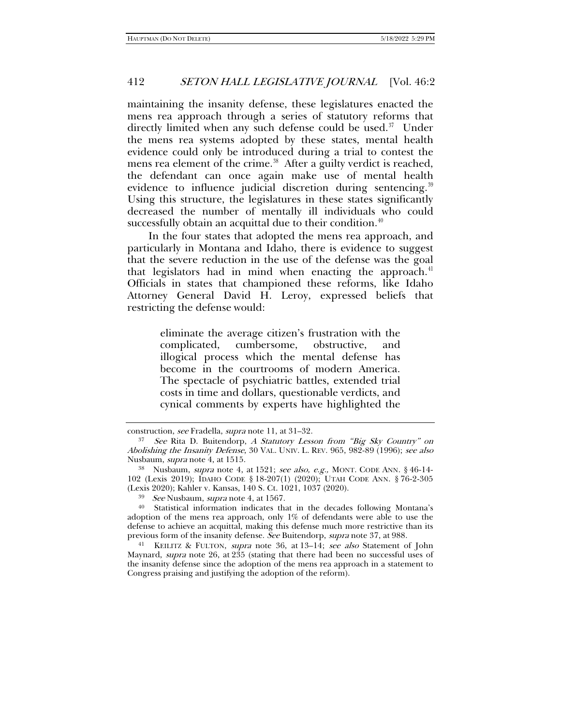<span id="page-7-0"></span>maintaining the insanity defense, these legislatures enacted the mens rea approach through a series of statutory reforms that directly limited when any such defense could be used.<sup>[37](#page-7-1)</sup> Under the mens rea systems adopted by these states, mental health evidence could only be introduced during a trial to contest the mens rea element of the crime.<sup>[38](#page-7-2)</sup> After a guilty verdict is reached, the defendant can once again make use of mental health evidence to influence judicial discretion during sentencing.<sup>[39](#page-7-3)</sup> Using this structure, the legislatures in these states significantly decreased the number of mentally ill individuals who could successfully obtain an acquittal due to their condition. $40$ 

In the four states that adopted the mens rea approach, and particularly in Montana and Idaho, there is evidence to suggest that the severe reduction in the use of the defense was the goal that legislators had in mind when enacting the approach. $41$ Officials in states that championed these reforms, like Idaho Attorney General David H. Leroy, expressed beliefs that restricting the defense would:

> eliminate the average citizen's frustration with the complicated, cumbersome, obstructive, and illogical process which the mental defense has become in the courtrooms of modern America. The spectacle of psychiatric battles, extended trial costs in time and dollars, questionable verdicts, and cynical comments by experts have highlighted the

construction, see Fradella, supra not[e 11,](#page-3-0) at 31–32.

<span id="page-7-1"></span><sup>37</sup> See Rita D. Buitendorp, A Statutory Lesson from "Big Sky Country" on Abolishing the Insanity Defense, 30 VAL. UNIV. L. REV. 965, 982-89 (1996); see also Nusbaum, supra note [4,](#page-1-0) at 1515.

<span id="page-7-2"></span><sup>&</sup>lt;sup>38</sup> Nusbaum, *supra* note [4,](#page-1-0) at 1521; see also, e.g., MONT. CODE ANN. § 46-14-102 (Lexis 2019); IDAHO CODE § 18-207(1) (2020); UTAH CODE ANN. § 76-2-305 (Lexis 2020); Kahler v. Kansas, 140 S. Ct. 1021, 1037 (2020).

 $39$  See Nusbaum, supra note [4,](#page-1-0) at 1567.

<span id="page-7-4"></span><span id="page-7-3"></span><sup>40</sup> Statistical information indicates that in the decades following Montana's adoption of the mens rea approach, only 1% of defendants were able to use the defense to achieve an acquittal, making this defense much more restrictive than its previous form of the insanity defense. See Buitendorp, supra not[e 37,](#page-7-0) at 988.

<span id="page-7-5"></span><sup>41</sup> KEILITZ & FULTON, supra note [36,](#page-6-6) at 13–14; see also Statement of John Maynard, supra note [26,](#page-5-6) at 235 (stating that there had been no successful uses of the insanity defense since the adoption of the mens rea approach in a statement to Congress praising and justifying the adoption of the reform).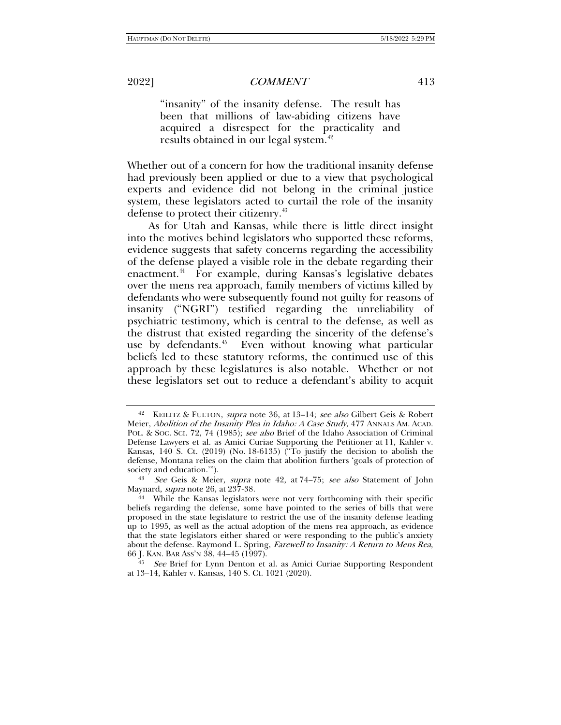"insanity" of the insanity defense. The result has been that millions of law-abiding citizens have acquired a disrespect for the practicality and results obtained in our legal system.<sup>[42](#page-8-1)</sup>

Whether out of a concern for how the traditional insanity defense had previously been applied or due to a view that psychological experts and evidence did not belong in the criminal justice system, these legislators acted to curtail the role of the insanity defense to protect their citizenry.<sup>[43](#page-8-2)</sup>

<span id="page-8-5"></span>As for Utah and Kansas, while there is little direct insight into the motives behind legislators who supported these reforms, evidence suggests that safety concerns regarding the accessibility of the defense played a visible role in the debate regarding their enactment.<sup>44</sup> For example, during Kansas's legislative debates over the mens rea approach, family members of victims killed by defendants who were subsequently found not guilty for reasons of insanity ("NGRI") testified regarding the unreliability of psychiatric testimony, which is central to the defense, as well as the distrust that existed regarding the sincerity of the defense's use by defendants. $45$  Even without knowing what particular beliefs led to these statutory reforms, the continued use of this approach by these legislatures is also notable. Whether or not these legislators set out to reduce a defendant's ability to acquit

<span id="page-8-0"></span>

<span id="page-8-1"></span><sup>&</sup>lt;sup>42</sup> KEILITZ & FULTON, *supra* note [36,](#page-6-6) at 13-14; see also Gilbert Geis & Robert Meier, Abolition of the Insanity Plea in Idaho: A Case Study, 477 ANNALS AM. ACAD. POL. & SOC. SCI. 72, 74 (1985); see also Brief of the Idaho Association of Criminal Defense Lawyers et al. as Amici Curiae Supporting the Petitioner at 11, Kahler v. Kansas, 140 S. Ct. (2019) (No. 18-6135) ("To justify the decision to abolish the defense, Montana relies on the claim that abolition furthers 'goals of protection of society and education.'").

<span id="page-8-2"></span>See Geis & Meier, supra note [42,](#page-8-0) at 74-75; see also Statement of John Maynard, *supra* not[e 26,](#page-5-6) at 237-38.

<span id="page-8-3"></span><sup>44</sup> While the Kansas legislators were not very forthcoming with their specific beliefs regarding the defense, some have pointed to the series of bills that were proposed in the state legislature to restrict the use of the insanity defense leading up to 1995, as well as the actual adoption of the mens rea approach, as evidence that the state legislators either shared or were responding to the public's anxiety about the defense. Raymond L. Spring, Farewell to Insanity: A Return to Mens Rea, 66 J. KAN. BAR ASS'N 38, 44–45 (1997).

<span id="page-8-4"></span><sup>&</sup>lt;sup>45</sup> See Brief for Lynn Denton et al. as Amici Curiae Supporting Respondent at 13–14, Kahler v. Kansas, 140 S. Ct. 1021 (2020).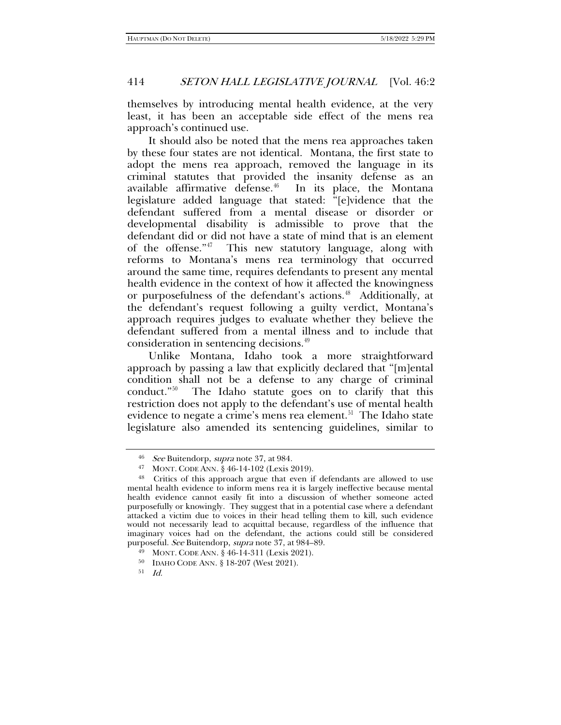themselves by introducing mental health evidence, at the very least, it has been an acceptable side effect of the mens rea approach's continued use.

It should also be noted that the mens rea approaches taken by these four states are not identical. Montana, the first state to adopt the mens rea approach, removed the language in its criminal statutes that provided the insanity defense as an available affirmative defense.<sup>46</sup> In its place, the Montana legislature added language that stated: "[e]vidence that the defendant suffered from a mental disease or disorder or developmental disability is admissible to prove that the defendant did or did not have a state of mind that is an element of the offense."[47](#page-9-1) This new statutory language, along with reforms to Montana's mens rea terminology that occurred around the same time, requires defendants to present any mental health evidence in the context of how it affected the knowingness or purposefulness of the defendant's actions.<sup>48</sup> Additionally, at the defendant's request following a guilty verdict, Montana's approach requires judges to evaluate whether they believe the defendant suffered from a mental illness and to include that consideration in sentencing decisions.[49](#page-9-3)

Unlike Montana, Idaho took a more straightforward approach by passing a law that explicitly declared that "[m]ental condition shall not be a defense to any charge of criminal conduct."[50](#page-9-4) The Idaho statute goes on to clarify that this restriction does not apply to the defendant's use of mental health evidence to negate a crime's mens rea element.<sup>51</sup> The Idaho state legislature also amended its sentencing guidelines, similar to

<sup>&</sup>lt;sup>46</sup> See Buitendorp, supra note [37,](#page-7-0) at 984.

MONT. CODE ANN. § 46-14-102 (Lexis 2019).

<span id="page-9-2"></span><span id="page-9-1"></span><span id="page-9-0"></span><sup>48</sup> Critics of this approach argue that even if defendants are allowed to use mental health evidence to inform mens rea it is largely ineffective because mental health evidence cannot easily fit into a discussion of whether someone acted purposefully or knowingly. They suggest that in a potential case where a defendant attacked a victim due to voices in their head telling them to kill, such evidence would not necessarily lead to acquittal because, regardless of the influence that imaginary voices had on the defendant, the actions could still be considered purposeful. See Buitendorp, supra note [37,](#page-7-0) at 984–89.

<span id="page-9-3"></span><sup>49</sup> MONT. CODE ANN. § 46-14-311 (Lexis 2021).

<span id="page-9-4"></span><sup>50</sup> IDAHO CODE ANN. § 18-207 (West 2021).

<span id="page-9-5"></span><sup>51</sup> Id.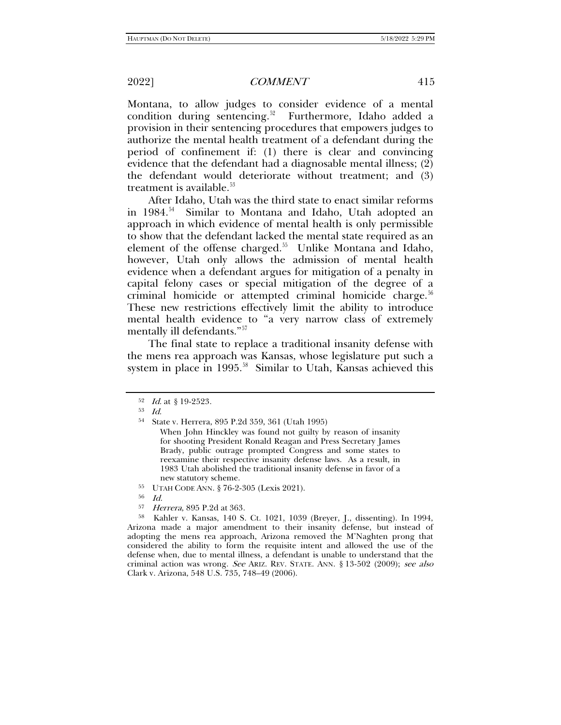Montana, to allow judges to consider evidence of a mental condition during sentencing.<sup>52</sup> Furthermore, Idaho added a provision in their sentencing procedures that empowers judges to authorize the mental health treatment of a defendant during the period of confinement if: (1) there is clear and convincing evidence that the defendant had a diagnosable mental illness;  $(2)$ the defendant would deteriorate without treatment; and (3) treatment is available. $53$ 

After Idaho, Utah was the third state to enact similar reforms in 1984.<sup>[54](#page-10-2)</sup> Similar to Montana and Idaho, Utah adopted an approach in which evidence of mental health is only permissible to show that the defendant lacked the mental state required as an element of the offense charged.<sup>[55](#page-10-3)</sup> Unlike Montana and Idaho, however, Utah only allows the admission of mental health evidence when a defendant argues for mitigation of a penalty in capital felony cases or special mitigation of the degree of a criminal homicide or attempted criminal homicide charge. $56$ These new restrictions effectively limit the ability to introduce mental health evidence to "a very narrow class of extremely mentally ill defendants."[57](#page-10-5)

The final state to replace a traditional insanity defense with the mens rea approach was Kansas, whose legislature put such a system in place in 1995.<sup>58</sup> Similar to Utah, Kansas achieved this

<span id="page-10-2"></span><sup>54</sup> State v. Herrera, 895 P.2d 359, 361 (Utah 1995)

When John Hinckley was found not guilty by reason of insanity for shooting President Ronald Reagan and Press Secretary James Brady, public outrage prompted Congress and some states to reexamine their respective insanity defense laws. As a result, in 1983 Utah abolished the traditional insanity defense in favor of a new statutory scheme.

- 56 Id.
- <sup>57</sup> Herrera, 895 P.2d at 363.

<span id="page-10-6"></span><span id="page-10-5"></span><span id="page-10-4"></span><span id="page-10-3"></span><sup>58</sup> Kahler v. Kansas, 140 S. Ct. 1021, 1039 (Breyer, J., dissenting). In 1994, Arizona made a major amendment to their insanity defense, but instead of adopting the mens rea approach, Arizona removed the M'Naghten prong that considered the ability to form the requisite intent and allowed the use of the defense when, due to mental illness, a defendant is unable to understand that the criminal action was wrong. See ARIZ. REV. STATE. ANN. § 13-502 (2009); see also Clark v. Arizona, 548 U.S. 735, 748–49 (2006).

<span id="page-10-0"></span><sup>52</sup> Id. at § 19-2523.

<span id="page-10-1"></span><sup>53</sup> Id.

<sup>55</sup> UTAH CODE ANN. § 76-2-305 (Lexis 2021).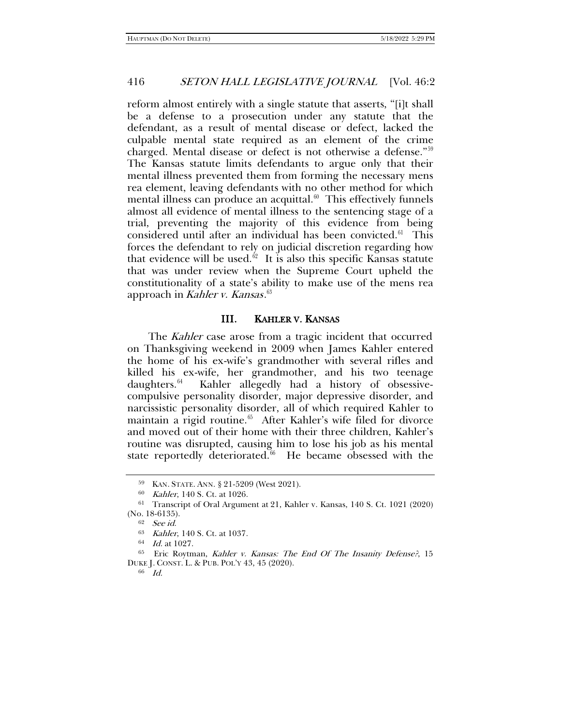reform almost entirely with a single statute that asserts, "[i]t shall be a defense to a prosecution under any statute that the defendant, as a result of mental disease or defect, lacked the culpable mental state required as an element of the crime charged. Mental disease or defect is not otherwise a defense."[59](#page-11-0) The Kansas statute limits defendants to argue only that their mental illness prevented them from forming the necessary mens rea element, leaving defendants with no other method for which mental illness can produce an acquittal. $\frac{60}{10}$  $\frac{60}{10}$  $\frac{60}{10}$  This effectively funnels almost all evidence of mental illness to the sentencing stage of a trial, preventing the majority of this evidence from being considered until after an individual has been convicted.<sup>[61](#page-11-2)</sup> This forces the defendant to rely on judicial discretion regarding how that evidence will be used.<sup> $62$ </sup> It is also this specific Kansas statute that was under review when the Supreme Court upheld the constitutionality of a state's ability to make use of the mens rea approach in *Kahler v. Kansas*.<sup>[63](#page-11-4)</sup>

## III. KAHLER V. KANSAS

The Kahler case arose from a tragic incident that occurred on Thanksgiving weekend in 2009 when James Kahler entered the home of his ex-wife's grandmother with several rifles and killed his ex-wife, her grandmother, and his two teenage daughters.<sup>[64](#page-11-5)</sup> Kahler allegedly had a history of obsessivecompulsive personality disorder, major depressive disorder, and narcissistic personality disorder, all of which required Kahler to maintain a rigid routine.<sup>[65](#page-11-6)</sup> After Kahler's wife filed for divorce and moved out of their home with their three children, Kahler's routine was disrupted, causing him to lose his job as his mental state reportedly deteriorated. $66$  He became obsessed with the

66 Id.

<sup>59</sup> KAN. STATE. ANN. § 21-5209 (West 2021).

<sup>60</sup> Kahler, 140 S. Ct. at 1026.

<span id="page-11-3"></span><span id="page-11-2"></span><span id="page-11-1"></span><span id="page-11-0"></span><sup>61</sup> Transcript of Oral Argument at 21, Kahler v. Kansas, 140 S. Ct. 1021 (2020) (No. 18-6135).

<sup>62</sup> See id.

<sup>63</sup> Kahler, 140 S. Ct. at 1037.

<sup>64</sup> Id. at 1027.

<span id="page-11-7"></span><span id="page-11-6"></span><span id="page-11-5"></span><span id="page-11-4"></span><sup>65</sup> Eric Roytman, Kahler v. Kansas: The End Of The Insanity Defense?, 15 DUKE J. CONST. L. & PUB. POL'Y 43, 45 (2020).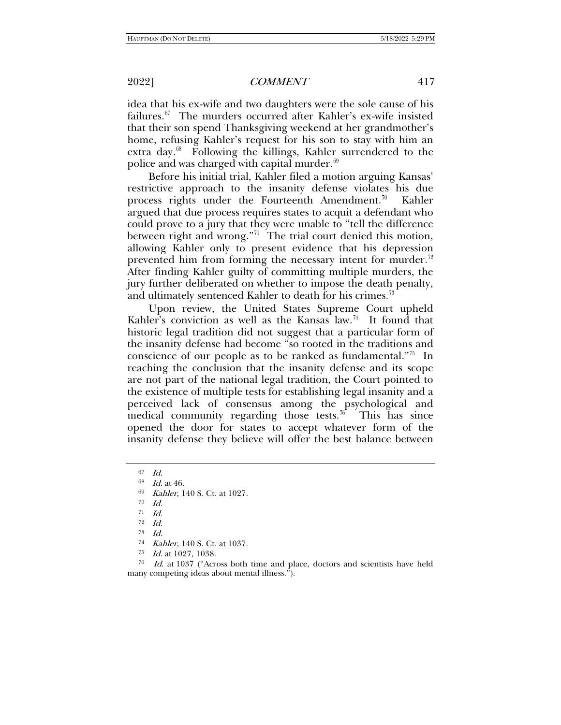idea that his ex-wife and two daughters were the sole cause of his failures.<sup>67</sup> The murders occurred after Kahler's ex-wife insisted that their son spend Thanksgiving weekend at her grandmother's home, refusing Kahler's request for his son to stay with him an extra day.<sup>[68](#page-12-1)</sup> Following the killings, Kahler surrendered to the police and was charged with capital murder. $69$ 

Before his initial trial, Kahler filed a motion arguing Kansas' restrictive approach to the insanity defense violates his due process rights under the Fourteenth Amendment.<sup>70</sup> Kahler argued that due process requires states to acquit a defendant who could prove to a jury that they were unable to "tell the difference between right and wrong."<sup>[71](#page-12-4)</sup> The trial court denied this motion, allowing Kahler only to present evidence that his depression prevented him from forming the necessary intent for murder.<sup>[72](#page-12-5)</sup> After finding Kahler guilty of committing multiple murders, the jury further deliberated on whether to impose the death penalty, and ultimately sentenced Kahler to death for his crimes.<sup>[73](#page-12-6)</sup>

Upon review, the United States Supreme Court upheld Kahler's conviction as well as the Kansas law.<sup>[74](#page-12-7)</sup> It found that historic legal tradition did not suggest that a particular form of the insanity defense had become "so rooted in the traditions and conscience of our people as to be ranked as fundamental."<sup>75</sup> In reaching the conclusion that the insanity defense and its scope are not part of the national legal tradition, the Court pointed to the existence of multiple tests for establishing legal insanity and a perceived lack of consensus among the psychological and medical community regarding those tests.<sup>76</sup> This has since opened the door for states to accept whatever form of the insanity defense they believe will offer the best balance between

<sup>75</sup> Id. at 1027, 1038.

<span id="page-12-9"></span><span id="page-12-8"></span><span id="page-12-7"></span><span id="page-12-6"></span><span id="page-12-5"></span><span id="page-12-4"></span><sup>76</sup> Id. at 1037 ("Across both time and place, doctors and scientists have held many competing ideas about mental illness.").

<span id="page-12-0"></span><sup>67</sup> Id.

<span id="page-12-1"></span><sup>68</sup> Id. at 46.

<span id="page-12-2"></span><sup>69</sup> Kahler, 140 S. Ct. at 1027.

<span id="page-12-3"></span> $70$  Id.

<sup>71</sup> Id.

<sup>72</sup> Id.

<sup>73</sup> Id.

<sup>74</sup> Kahler, 140 S. Ct. at 1037.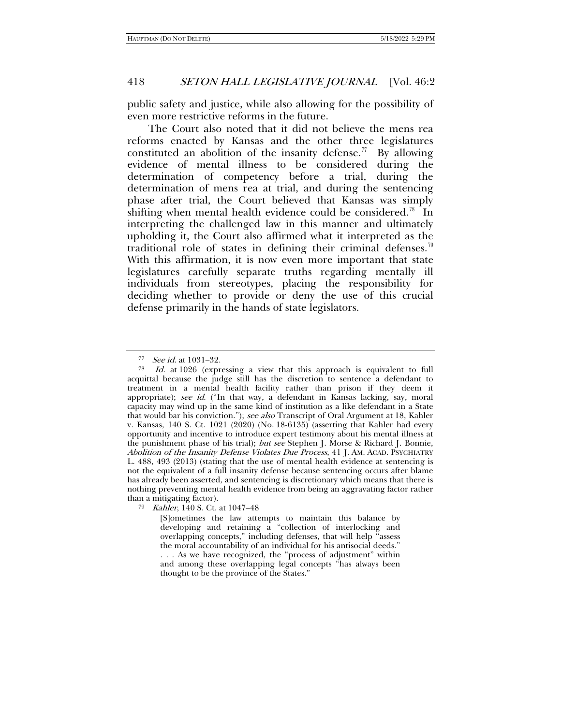public safety and justice, while also allowing for the possibility of even more restrictive reforms in the future.

<span id="page-13-3"></span>The Court also noted that it did not believe the mens rea reforms enacted by Kansas and the other three legislatures constituted an abolition of the insanity defense.<sup>[77](#page-13-0)</sup> By allowing evidence of mental illness to be considered during the determination of competency before a trial, during the determination of mens rea at trial, and during the sentencing phase after trial, the Court believed that Kansas was simply shifting when mental health evidence could be considered.<sup>78</sup> In interpreting the challenged law in this manner and ultimately upholding it, the Court also affirmed what it interpreted as the traditional role of states in defining their criminal defenses.<sup>[79](#page-13-2)</sup> With this affirmation, it is now even more important that state legislatures carefully separate truths regarding mentally ill individuals from stereotypes, placing the responsibility for deciding whether to provide or deny the use of this crucial defense primarily in the hands of state legislators.

<span id="page-13-2"></span><sup>79</sup> Kahler, 140 S. Ct. at 1047–48

[S]ometimes the law attempts to maintain this balance by developing and retaining a "collection of interlocking and overlapping concepts," including defenses, that will help "assess the moral accountability of an individual for his antisocial deeds." . . . As we have recognized, the "process of adjustment" within and among these overlapping legal concepts "has always been thought to be the province of the States."

 $77$  See id. at 1031–32.

<span id="page-13-1"></span><span id="page-13-0"></span><sup>78</sup> Id. at 1026 (expressing a view that this approach is equivalent to full acquittal because the judge still has the discretion to sentence a defendant to treatment in a mental health facility rather than prison if they deem it appropriate); see id. ("In that way, a defendant in Kansas lacking, say, moral capacity may wind up in the same kind of institution as a like defendant in a State that would bar his conviction."); see also Transcript of Oral Argument at 18, Kahler v. Kansas, 140 S. Ct. 1021 (2020) (No. 18-6135) (asserting that Kahler had every opportunity and incentive to introduce expert testimony about his mental illness at the punishment phase of his trial); but see Stephen J. Morse & Richard J. Bonnie, Abolition of the Insanity Defense Violates Due Process, 41 J. AM. ACAD. PSYCHIATRY L. 488, 493 (2013) (stating that the use of mental health evidence at sentencing is not the equivalent of a full insanity defense because sentencing occurs after blame has already been asserted, and sentencing is discretionary which means that there is nothing preventing mental health evidence from being an aggravating factor rather than a mitigating factor).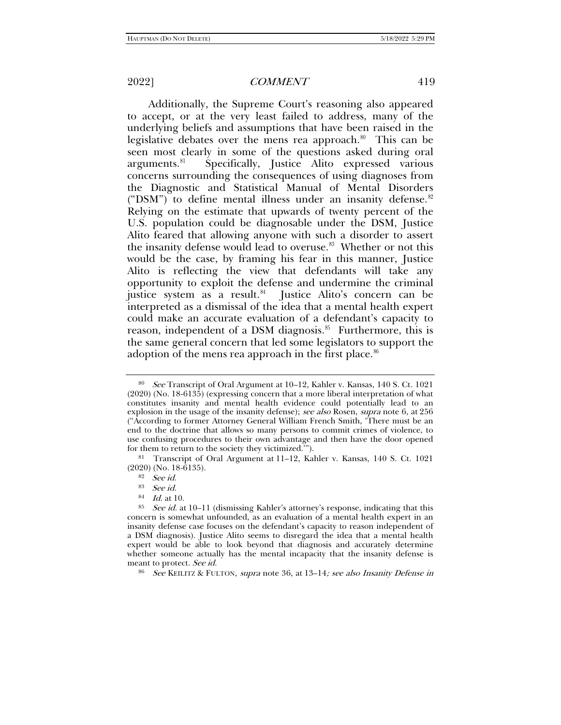Additionally, the Supreme Court's reasoning also appeared to accept, or at the very least failed to address, many of the underlying beliefs and assumptions that have been raised in the legislative debates over the mens rea approach.<sup>[80](#page-14-0)</sup> This can be seen most clearly in some of the questions asked during oral arguments.[81](#page-14-1) Specifically, Justice Alito expressed various concerns surrounding the consequences of using diagnoses from the Diagnostic and Statistical Manual of Mental Disorders ("DSM") to define mental illness under an insanity defense. $82$ Relying on the estimate that upwards of twenty percent of the U.S. population could be diagnosable under the DSM, Justice Alito feared that allowing anyone with such a disorder to assert the insanity defense would lead to overuse.<sup>[83](#page-14-3)</sup> Whether or not this would be the case, by framing his fear in this manner, Justice Alito is reflecting the view that defendants will take any opportunity to exploit the defense and undermine the criminal justice system as a result.<sup>84</sup> Justice Alito's concern can be interpreted as a dismissal of the idea that a mental health expert could make an accurate evaluation of a defendant's capacity to reason, independent of a DSM diagnosis.<sup>85</sup> Furthermore, this is the same general concern that led some legislators to support the adoption of the mens rea approach in the first place. $86$ 

 $84$  *Id.* at 10.

<span id="page-14-0"></span><sup>&</sup>lt;sup>80</sup> See Transcript of Oral Argument at  $10-12$ , Kahler v. Kansas, 140 S. Ct. 1021 (2020) (No. 18-6135) (expressing concern that a more liberal interpretation of what constitutes insanity and mental health evidence could potentially lead to an explosion in the usage of the insanity defense); see also Rosen, supra note [6,](#page-1-7) at 256 ("According to former Attorney General William French Smith, 'There must be an end to the doctrine that allows so many persons to commit crimes of violence, to use confusing procedures to their own advantage and then have the door opened for them to return to the society they victimized.'").

<span id="page-14-2"></span><span id="page-14-1"></span><sup>81</sup> Transcript of Oral Argument at 11–12, Kahler v. Kansas, 140 S. Ct. 1021 (2020) (No. 18-6135).

<sup>82</sup> See id.

<sup>83</sup> See id.

<span id="page-14-5"></span><span id="page-14-4"></span><span id="page-14-3"></span> $85$  See id. at 10–11 (dismissing Kahler's attorney's response, indicating that this concern is somewhat unfounded, as an evaluation of a mental health expert in an insanity defense case focuses on the defendant's capacity to reason independent of a DSM diagnosis). Justice Alito seems to disregard the idea that a mental health expert would be able to look beyond that diagnosis and accurately determine whether someone actually has the mental incapacity that the insanity defense is meant to protect. See id.

<span id="page-14-6"></span><sup>86</sup> See KEILITZ & FULTON, supra note [36,](#page-6-6) at 13-14; see also Insanity Defense in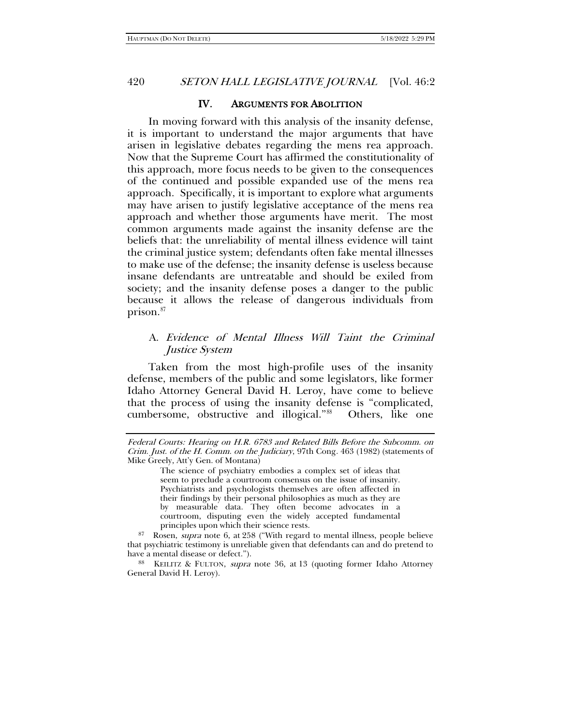## IV. ARGUMENTS FOR ABOLITION

In moving forward with this analysis of the insanity defense, it is important to understand the major arguments that have arisen in legislative debates regarding the mens rea approach. Now that the Supreme Court has affirmed the constitutionality of this approach, more focus needs to be given to the consequences of the continued and possible expanded use of the mens rea approach. Specifically, it is important to explore what arguments may have arisen to justify legislative acceptance of the mens rea approach and whether those arguments have merit. The most common arguments made against the insanity defense are the beliefs that: the unreliability of mental illness evidence will taint the criminal justice system; defendants often fake mental illnesses to make use of the defense; the insanity defense is useless because insane defendants are untreatable and should be exiled from society; and the insanity defense poses a danger to the public because it allows the release of dangerous individuals from prison.<sup>[87](#page-15-0)</sup>

# A. Evidence of Mental Illness Will Taint the Criminal Justice System

Taken from the most high-profile uses of the insanity defense, members of the public and some legislators, like former Idaho Attorney General David H. Leroy, have come to believe that the process of using the insanity defense is "complicated, cumbersome, obstructive and illogical."[88](#page-15-1) Others, like one

Federal Courts: Hearing on H.R. 6783 and Related Bills Before the Subcomm. on Crim. Just. of the H. Comm. on the Judiciary, 97th Cong. 463 (1982) (statements of Mike Greely, Att'y Gen. of Montana)

The science of psychiatry embodies a complex set of ideas that seem to preclude a courtroom consensus on the issue of insanity. Psychiatrists and psychologists themselves are often affected in their findings by their personal philosophies as much as they are by measurable data. They often become advocates in a courtroom, disputing even the widely accepted fundamental principles upon which their science rests.

<span id="page-15-0"></span><sup>87</sup> Rosen, *supra* note [6,](#page-1-7) at 258 ("With regard to mental illness, people believe that psychiatric testimony is unreliable given that defendants can and do pretend to have a mental disease or defect.").

<span id="page-15-1"></span><sup>88</sup> KEILITZ & FULTON, supra note [36,](#page-6-6) at 13 (quoting former Idaho Attorney General David H. Leroy).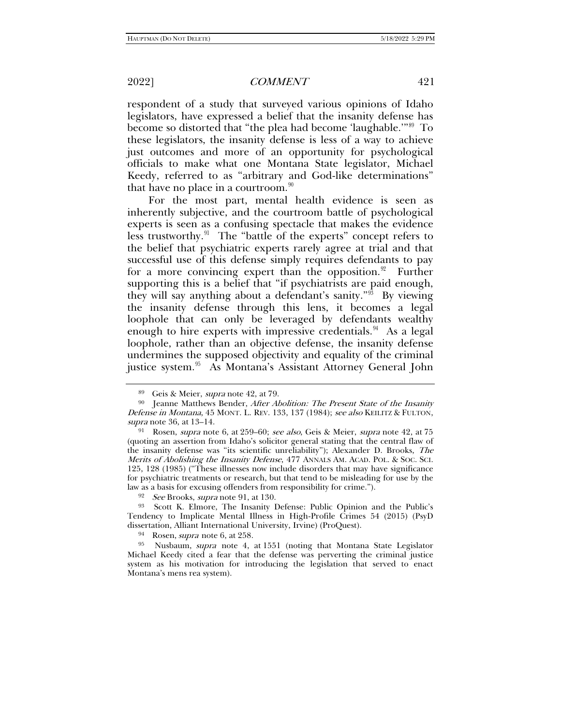respondent of a study that surveyed various opinions of Idaho legislators, have expressed a belief that the insanity defense has become so distorted that "the plea had become 'laughable.'"[89](#page-16-1) To these legislators, the insanity defense is less of a way to achieve just outcomes and more of an opportunity for psychological officials to make what one Montana State legislator, Michael Keedy, referred to as "arbitrary and God-like determinations" that have no place in a courtroom. $90$ 

<span id="page-16-8"></span><span id="page-16-0"></span>For the most part, mental health evidence is seen as inherently subjective, and the courtroom battle of psychological experts is seen as a confusing spectacle that makes the evidence less trustworthy.[91](#page-16-3) The "battle of the experts" concept refers to the belief that psychiatric experts rarely agree at trial and that successful use of this defense simply requires defendants to pay for a more convincing expert than the opposition.<sup>[92](#page-16-4)</sup> Further supporting this is a belief that "if psychiatrists are paid enough, they will say anything about a defendant's sanity."<sup>93</sup> By viewing the insanity defense through this lens, it becomes a legal loophole that can only be leveraged by defendants wealthy enough to hire experts with impressive credentials.  $4$  As a legal loophole, rather than an objective defense, the insanity defense undermines the supposed objectivity and equality of the criminal justice system.<sup>[95](#page-16-7)</sup> As Montana's Assistant Attorney General John

<span id="page-16-9"></span>

<sup>&</sup>lt;sup>89</sup> Geis & Meier, *supra* note [42,](#page-8-0) at 79.

<span id="page-16-2"></span><span id="page-16-1"></span> $90$  Jeanne Matthews Bender, *After Abolition: The Present State of the Insanity* Defense in Montana, 45 MONT. L. REV. 133, 137 (1984); see also KEILITZ & FULTON, supra note [36,](#page-6-6) at 13–14.

<span id="page-16-3"></span><sup>91</sup> Rosen, supra note [6,](#page-1-7) at 259–60; see also, Geis & Meier, supra note [42,](#page-8-0) at 75 (quoting an assertion from Idaho's solicitor general stating that the central flaw of the insanity defense was "its scientific unreliability"); Alexander D. Brooks, The Merits of Abolishing the Insanity Defense, 477 ANNALS AM. ACAD. POL. & SOC. SCI. 125, 128 (1985) ("These illnesses now include disorders that may have significance for psychiatric treatments or research, but that tend to be misleading for use by the law as a basis for excusing offenders from responsibility for crime.").<br>
<sup>92</sup> See Brooks, *supra* note [91,](#page-16-0) at 130.<br>
<sup>93</sup> Scott K. Elmore. The Insanity Defense: Public Opinion at

<span id="page-16-5"></span><span id="page-16-4"></span>Scott K. Elmore, The Insanity Defense: Public Opinion and the Public's Tendency to Implicate Mental Illness in High-Profile Crimes 54 (2015) (PsyD dissertation, Alliant International University, Irvine) (ProQuest).

<sup>94</sup> Rosen, *supra* note [6,](#page-1-7) at 258.

<span id="page-16-7"></span><span id="page-16-6"></span><sup>95</sup> Nusbaum, *supra* note [4,](#page-1-0) at 1551 (noting that Montana State Legislator Michael Keedy cited a fear that the defense was perverting the criminal justice system as his motivation for introducing the legislation that served to enact Montana's mens rea system).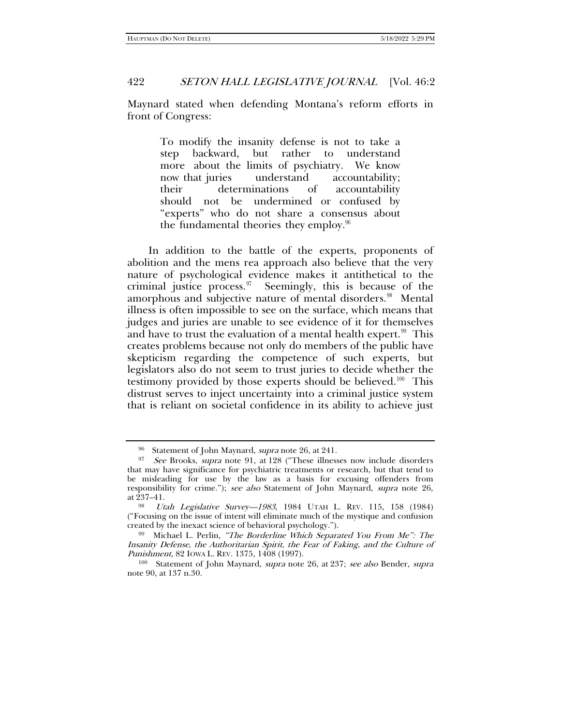Maynard stated when defending Montana's reform efforts in front of Congress:

> To modify the insanity defense is not to take a step backward, but rather to understand more about the limits of psychiatry. We know now that juries understand accountability; their determinations of accountability should not be undermined or confused by "experts" who do not share a consensus about the fundamental theories they employ. $96$

<span id="page-17-6"></span><span id="page-17-5"></span>In addition to the battle of the experts, proponents of abolition and the mens rea approach also believe that the very nature of psychological evidence makes it antithetical to the criminal justice process. $\frac{97}{10}$  Seemingly, this is because of the amorphous and subjective nature of mental disorders.<sup>[98](#page-17-2)</sup> Mental illness is often impossible to see on the surface, which means that judges and juries are unable to see evidence of it for themselves and have to trust the evaluation of a mental health expert. $99$  This creates problems because not only do members of the public have skepticism regarding the competence of such experts, but legislators also do not seem to trust juries to decide whether the testimony provided by those experts should be believed.<sup>100</sup> This distrust serves to inject uncertainty into a criminal justice system that is reliant on societal confidence in its ability to achieve just

<sup>&</sup>lt;sup>96</sup> Statement of John Maynard, *supra* not[e 26,](#page-5-6) at 241.<br><sup>97</sup> See Brooks, *supra* note 91, at 128 ("These illness

<span id="page-17-1"></span><span id="page-17-0"></span>See Brooks, supra note [91,](#page-16-0) at 128 ("These illnesses now include disorders that may have significance for psychiatric treatments or research, but that tend to be misleading for use by the law as a basis for excusing offenders from responsibility for crime."); see also Statement of John Maynard, supra note [26,](#page-5-6) at 237–41.

<span id="page-17-2"></span><sup>98</sup> Utah Legislative Survey—1983, 1984 UTAH L. REV. 115, 158 (1984) ("Focusing on the issue of intent will eliminate much of the mystique and confusion created by the inexact science of behavioral psychology.").

<span id="page-17-3"></span> $99$  Michael L. Perlin, "The Borderline Which Separated You From Me": The Insanity Defense, the Authoritarian Spirit, the Fear of Faking, and the Culture of Punishment, 82 IOWA L. REV. 1375, 1408 (1997).

<span id="page-17-4"></span><sup>&</sup>lt;sup>100</sup> Statement of John Maynard, *supra* note [26,](#page-5-6) at 237; see also Bender, supra note [90,](#page-16-8) at 137 n.30.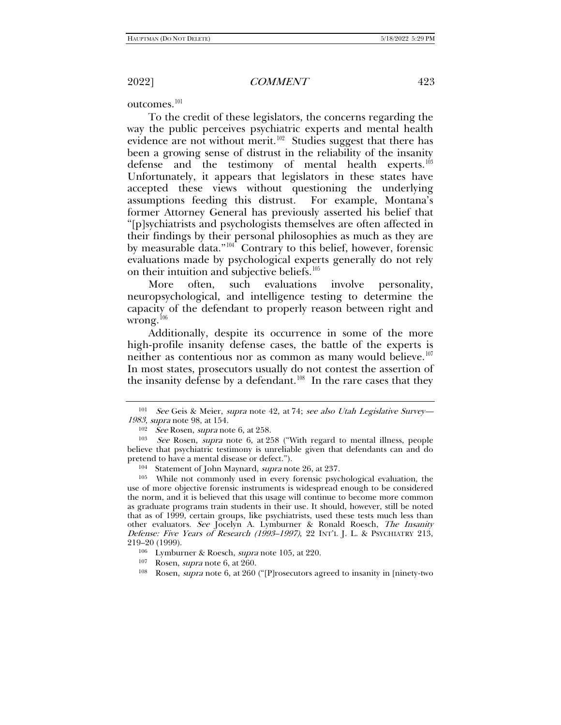outcomes.[101](#page-18-1)

To the credit of these legislators, the concerns regarding the way the public perceives psychiatric experts and mental health evidence are not without merit.<sup>102</sup> Studies suggest that there has been a growing sense of distrust in the reliability of the insanity defense and the testimony of mental health experts.[103](#page-18-3) Unfortunately, it appears that legislators in these states have accepted these views without questioning the underlying assumptions feeding this distrust. For example, Montana's former Attorney General has previously asserted his belief that "[p]sychiatrists and psychologists themselves are often affected in their findings by their personal philosophies as much as they are by measurable data."<sup>104</sup> Contrary to this belief, however, forensic evaluations made by psychological experts generally do not rely on their intuition and subjective beliefs.[105](#page-18-5)

<span id="page-18-0"></span>More often, such evaluations involve personality, neuropsychological, and intelligence testing to determine the capacity of the defendant to properly reason between right and wrong. $^{106}$  $^{106}$  $^{106}$ 

Additionally, despite its occurrence in some of the more high-profile insanity defense cases, the battle of the experts is neither as contentious nor as common as many would believe.<sup>[107](#page-18-7)</sup> In most states, prosecutors usually do not contest the assertion of the insanity defense by a defendant.<sup>108</sup> In the rare cases that they

<span id="page-18-1"></span><sup>&</sup>lt;sup>101</sup> See Geis & Meier, supra note [42,](#page-8-0) at 74; see also Utah Legislative Survey-<sup>1983</sup>, supra not[e 98,](#page-17-5) at 154.

<sup>&</sup>lt;sup>102</sup> See Rosen, supra note [6,](#page-1-7) at 258.

<span id="page-18-3"></span><span id="page-18-2"></span> $103$  See Rosen, supra note [6,](#page-1-7) at 258 ("With regard to mental illness, people believe that psychiatric testimony is unreliable given that defendants can and do pretend to have a mental disease or defect.").

<sup>&</sup>lt;sup>104</sup> Statement of John Maynard, *supra* note [26,](#page-5-6) at 237.

<span id="page-18-5"></span><span id="page-18-4"></span><sup>105</sup> While not commonly used in every forensic psychological evaluation, the use of more objective forensic instruments is widespread enough to be considered the norm, and it is believed that this usage will continue to become more common as graduate programs train students in their use. It should, however, still be noted that as of 1999, certain groups, like psychiatrists, used these tests much less than other evaluators. See Jocelyn A. Lymburner & Ronald Roesch, The Insanity Defense: Five Years of Research (1993–1997), 22 INT'L J. L. & PSYCHIATRY 213, 219–20 (1999).

<span id="page-18-7"></span><span id="page-18-6"></span><sup>106</sup> Lymburner & Roesch, supra not[e 105,](#page-18-0) at 220.

<sup>107</sup> Rosen, supra not[e 6,](#page-1-7) at 260.

<span id="page-18-8"></span><sup>108</sup> Rosen, supra note [6,](#page-1-7) at 260 ("[P]rosecutors agreed to insanity in [ninety-two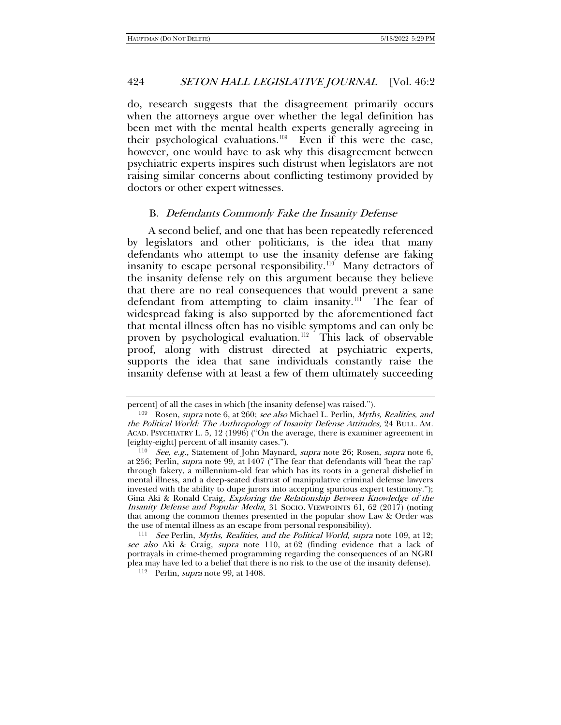do, research suggests that the disagreement primarily occurs when the attorneys argue over whether the legal definition has been met with the mental health experts generally agreeing in their psychological evaluations.<sup>109</sup> Even if this were the case, however, one would have to ask why this disagreement between psychiatric experts inspires such distrust when legislators are not raising similar concerns about conflicting testimony provided by doctors or other expert witnesses.

#### <span id="page-19-1"></span><span id="page-19-0"></span>B. Defendants Commonly Fake the Insanity Defense

A second belief, and one that has been repeatedly referenced by legislators and other politicians, is the idea that many defendants who attempt to use the insanity defense are faking insanity to escape personal responsibility.<sup>110</sup> Many detractors of the insanity defense rely on this argument because they believe that there are no real consequences that would prevent a sane defendant from attempting to claim insanity.<sup>[111](#page-19-4)</sup> The fear of widespread faking is also supported by the aforementioned fact that mental illness often has no visible symptoms and can only be proven by psychological evaluation.<sup>[112](#page-19-5)</sup> This lack of observable proof, along with distrust directed at psychiatric experts, supports the idea that sane individuals constantly raise the insanity defense with at least a few of them ultimately succeeding

percent] of all the cases in which [the insanity defense] was raised.").

<span id="page-19-2"></span><sup>109</sup> Rosen, supra not[e 6,](#page-1-7) at 260; see also Michael L. Perlin, Myths, Realities, and the Political World: The Anthropology of Insanity Defense Attitudes, 24 BULL. AM. ACAD. PSYCHIATRY L. 5, 12 (1996) ("On the average, there is examiner agreement in [eighty-eight] percent of all insanity cases.").

<span id="page-19-3"></span><sup>&</sup>lt;sup>110</sup> See, e.g., Statement of John Maynard, supra note [26;](#page-5-6) Rosen, supra note [6,](#page-1-7) at 256; Perlin, supra note [99,](#page-17-6) at 1407 ("The fear that defendants will 'beat the rap' through fakery, a millennium-old fear which has its roots in a general disbelief in mental illness, and a deep-seated distrust of manipulative criminal defense lawyers invested with the ability to dupe jurors into accepting spurious expert testimony."); Gina Aki & Ronald Craig, Exploring the Relationship Between Knowledge of the Insanity Defense and Popular Media, 31 SOCIO. VIEWPOINTS 61, 62 (2017) (noting that among the common themes presented in the popular show Law & Order was the use of mental illness as an escape from personal responsibility).

<span id="page-19-5"></span><span id="page-19-4"></span> $111$  See Perlin, Myths, Realities, and the Political World, supra note [109,](#page-19-0) at 12; see also Aki & Craig, supra note [110,](#page-19-1) at 62 (finding evidence that a lack of portrayals in crime-themed programming regarding the consequences of an NGRI plea may have led to a belief that there is no risk to the use of the insanity defense).

<sup>112</sup> Perlin, supra note [99,](#page-17-6) at 1408.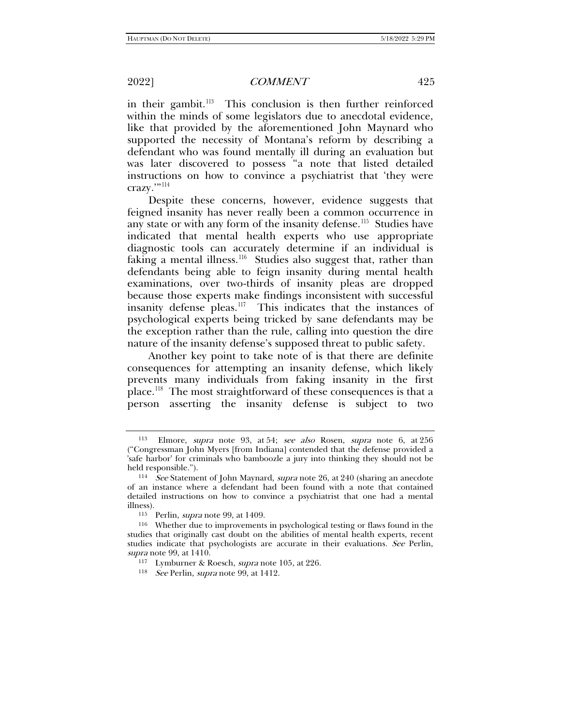in their gambit.<sup>113</sup> This conclusion is then further reinforced within the minds of some legislators due to anecdotal evidence, like that provided by the aforementioned John Maynard who supported the necessity of Montana's reform by describing a defendant who was found mentally ill during an evaluation but was later discovered to possess "a note that listed detailed instructions on how to convince a psychiatrist that 'they were crazy.""<sup>[114](#page-20-1)</sup>

Despite these concerns, however, evidence suggests that feigned insanity has never really been a common occurrence in any state or with any form of the insanity defense.<sup>115</sup> Studies have indicated that mental health experts who use appropriate diagnostic tools can accurately determine if an individual is faking a mental illness.<sup>[116](#page-20-3)</sup> Studies also suggest that, rather than defendants being able to feign insanity during mental health examinations, over two-thirds of insanity pleas are dropped because those experts make findings inconsistent with successful insanity defense pleas.<sup>[117](#page-20-4)</sup> This indicates that the instances of psychological experts being tricked by sane defendants may be the exception rather than the rule, calling into question the dire nature of the insanity defense's supposed threat to public safety.

Another key point to take note of is that there are definite consequences for attempting an insanity defense, which likely prevents many individuals from faking insanity in the first place.[118](#page-20-5) The most straightforward of these consequences is that a person asserting the insanity defense is subject to two

<span id="page-20-0"></span><sup>113</sup> Elmore, supra note [93,](#page-16-9) at 54; see also Rosen, supra note [6,](#page-1-7) at 256 ("Congressman John Myers [from Indiana] contended that the defense provided a 'safe harbor' for criminals who bamboozle a jury into thinking they should not be held responsible.").

<span id="page-20-1"></span><sup>&</sup>lt;sup>114</sup> See Statement of John Maynard, supra note [26,](#page-5-6) at 240 (sharing an anecdote of an instance where a defendant had been found with a note that contained detailed instructions on how to convince a psychiatrist that one had a mental illness).

<sup>115</sup> Perlin, supra note [99,](#page-17-6) at 1409.

<span id="page-20-5"></span><span id="page-20-4"></span><span id="page-20-3"></span><span id="page-20-2"></span><sup>116</sup> Whether due to improvements in psychological testing or flaws found in the studies that originally cast doubt on the abilities of mental health experts, recent studies indicate that psychologists are accurate in their evaluations. See Perlin, supra note [99,](#page-17-6) at 1410.

<sup>117</sup> Lymburner & Roesch, supra not[e 105,](#page-18-0) at 226.

<sup>118</sup> See Perlin, supra note [99,](#page-17-6) at 1412.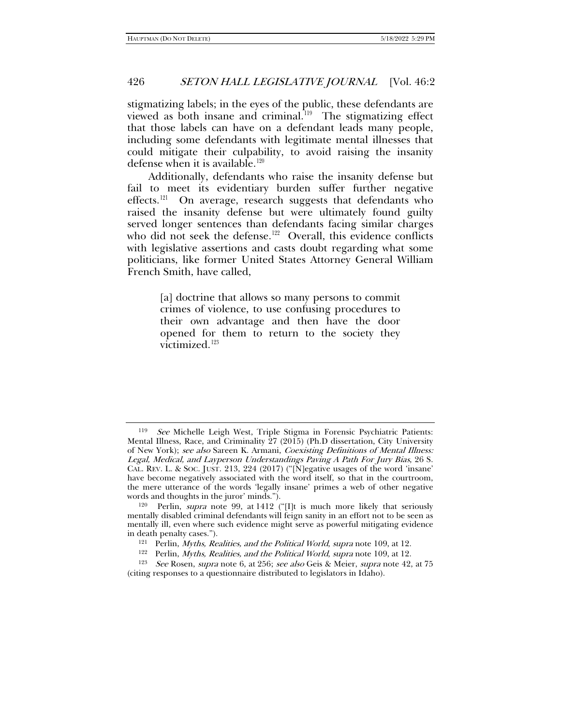<span id="page-21-5"></span>stigmatizing labels; in the eyes of the public, these defendants are viewed as both insane and criminal.<sup>119</sup> The stigmatizing effect that those labels can have on a defendant leads many people, including some defendants with legitimate mental illnesses that could mitigate their culpability, to avoid raising the insanity defense when it is available.<sup>[120](#page-21-1)</sup>

Additionally, defendants who raise the insanity defense but fail to meet its evidentiary burden suffer further negative effects.<sup>[121](#page-21-2)</sup> On average, research suggests that defendants who raised the insanity defense but were ultimately found guilty served longer sentences than defendants facing similar charges who did not seek the defense.<sup>[122](#page-21-3)</sup> Overall, this evidence conflicts with legislative assertions and casts doubt regarding what some politicians, like former United States Attorney General William French Smith, have called,

> [a] doctrine that allows so many persons to commit crimes of violence, to use confusing procedures to their own advantage and then have the door opened for them to return to the society they victimized.<sup>[123](#page-21-4)</sup>

<span id="page-21-0"></span><sup>119</sup> See Michelle Leigh West, Triple Stigma in Forensic Psychiatric Patients: Mental Illness, Race, and Criminality 27 (2015) (Ph.D dissertation, City University of New York); see also Sareen K. Armani, Coexisting Definitions of Mental Illness: Legal, Medical, and Layperson Understandings Paving A Path For Jury Bias, 26 S. CAL. REV. L. & SOC. JUST. 213, 224 (2017) ("[N]egative usages of the word 'insane' have become negatively associated with the word itself, so that in the courtroom, the mere utterance of the words 'legally insane' primes a web of other negative words and thoughts in the juror' minds.").

<span id="page-21-1"></span><sup>120</sup> Perlin, supra note [99,](#page-17-6) at 1412 ("[I]t is much more likely that seriously mentally disabled criminal defendants will feign sanity in an effort not to be seen as mentally ill, even where such evidence might serve as powerful mitigating evidence in death penalty cases.").

<sup>&</sup>lt;sup>121</sup> Perlin, *Myths, Realities, and the Political World, supra* note [109,](#page-19-0) at 12.

<sup>&</sup>lt;sup>122</sup> Perlin, *Myths, Realities, and the Political World, supra* note [109,](#page-19-0) at 12.

<span id="page-21-4"></span><span id="page-21-3"></span><span id="page-21-2"></span><sup>&</sup>lt;sup>123</sup> See Rosen, supra note [6,](#page-1-7) at 256; see also Geis & Meier, supra note [42,](#page-8-0) at 75 (citing responses to a questionnaire distributed to legislators in Idaho).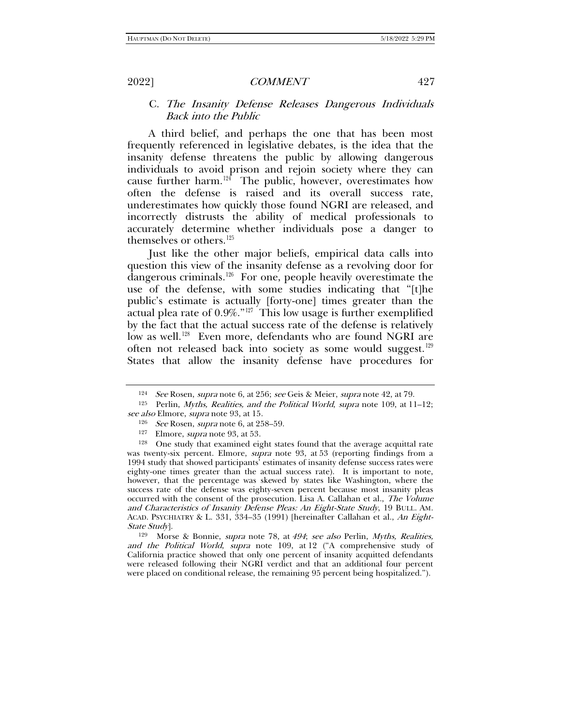# C. The Insanity Defense Releases Dangerous Individuals Back into the Public

A third belief, and perhaps the one that has been most frequently referenced in legislative debates, is the idea that the insanity defense threatens the public by allowing dangerous individuals to avoid prison and rejoin society where they can cause further harm.<sup>[124](#page-22-0)</sup> The public, however, overestimates how often the defense is raised and its overall success rate, underestimates how quickly those found NGRI are released, and incorrectly distrusts the ability of medical professionals to accurately determine whether individuals pose a danger to themselves or others.<sup>[125](#page-22-1)</sup>

Just like the other major beliefs, empirical data calls into question this view of the insanity defense as a revolving door for  $d$ angerous criminals.<sup>126</sup> For one, people heavily overestimate the use of the defense, with some studies indicating that "[t]he public's estimate is actually [forty-one] times greater than the actual plea rate of  $0.9\%$ ."<sup>[127](#page-22-3)</sup> This low usage is further exemplified by the fact that the actual success rate of the defense is relatively low as well.<sup>[128](#page-22-4)</sup> Even more, defendants who are found NGRI are often not released back into society as some would suggest.<sup>[129](#page-22-5)</sup> States that allow the insanity defense have procedures for

<span id="page-22-5"></span><sup>129</sup> Morse & Bonnie, *supra* note [78,](#page-13-3) at  $494$ ; see also Perlin, *Myths, Realities*, and the Political World, supra note [109,](#page-19-0) at 12 ("A comprehensive study of California practice showed that only one percent of insanity acquitted defendants were released following their NGRI verdict and that an additional four percent were placed on conditional release, the remaining 95 percent being hospitalized.").

<sup>&</sup>lt;sup>124</sup> See Rosen, supra note [6,](#page-1-7) at 256; see Geis & Meier, supra note [42,](#page-8-0) at 79.

<span id="page-22-2"></span><span id="page-22-1"></span><span id="page-22-0"></span><sup>&</sup>lt;sup>125</sup> Perlin, *Myths, Realities, and the Political World, supra* note [109,](#page-19-0) at  $11-12$ ; see also Elmore, supra note [93,](#page-16-9) at 15.

<sup>&</sup>lt;sup>126</sup> See Rosen, supra note [6,](#page-1-7) at  $258-59$ .

<sup>127</sup> Elmore, supra note [93,](#page-16-9) at 53.

<span id="page-22-4"></span><span id="page-22-3"></span><sup>&</sup>lt;sup>128</sup> One study that examined eight states found that the average acquittal rate was twenty-six percent. Elmore, *supra* note [93,](#page-16-9) at 53 (reporting findings from a 1994 study that showed participants' estimates of insanity defense success rates were eighty-one times greater than the actual success rate). It is important to note, however, that the percentage was skewed by states like Washington, where the success rate of the defense was eighty-seven percent because most insanity pleas occurred with the consent of the prosecution. Lisa A. Callahan et al., The Volume and Characteristics of Insanity Defense Pleas: An Eight-State Study, 19 BULL. AM. ACAD. PSYCHIATRY & L. 331, 334–35 (1991) [hereinafter Callahan et al., An Eight-State Study].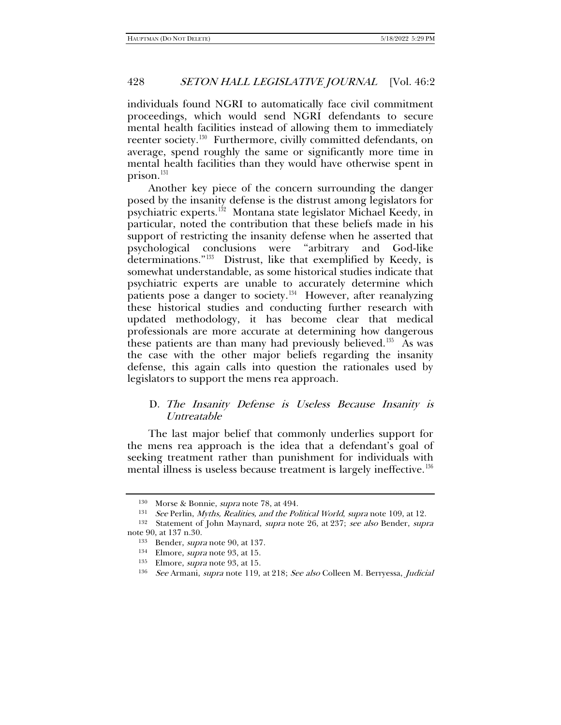individuals found NGRI to automatically face civil commitment proceedings, which would send NGRI defendants to secure mental health facilities instead of allowing them to immediately reenter society.<sup>[130](#page-23-0)</sup> Furthermore, civilly committed defendants, on average, spend roughly the same or significantly more time in mental health facilities than they would have otherwise spent in prison. $^{131}$  $^{131}$  $^{131}$ 

Another key piece of the concern surrounding the danger posed by the insanity defense is the distrust among legislators for psychiatric experts.[132](#page-23-2) Montana state legislator Michael Keedy, in particular, noted the contribution that these beliefs made in his support of restricting the insanity defense when he asserted that psychological conclusions were "arbitrary and God-like determinations."<sup>133</sup> Distrust, like that exemplified by Keedy, is somewhat understandable, as some historical studies indicate that psychiatric experts are unable to accurately determine which patients pose a danger to society.<sup>134</sup> However, after reanalyzing these historical studies and conducting further research with updated methodology, it has become clear that medical professionals are more accurate at determining how dangerous these patients are than many had previously believed.<sup>[135](#page-23-5)</sup> As was the case with the other major beliefs regarding the insanity defense, this again calls into question the rationales used by legislators to support the mens rea approach.

# <span id="page-23-7"></span>D. The Insanity Defense is Useless Because Insanity is Untreatable

The last major belief that commonly underlies support for the mens rea approach is the idea that a defendant's goal of seeking treatment rather than punishment for individuals with mental illness is useless because treatment is largely ineffective.<sup>[136](#page-23-6)</sup>

<sup>&</sup>lt;sup>130</sup> Morse & Bonnie, *supra* not[e 78,](#page-13-3) at 494.

<sup>&</sup>lt;sup>131</sup> See Perlin, *Myths, Realities, and the Political World, supra* note [109,](#page-19-0) at 12.<br><sup>132</sup> Statement of John Maynard, supra note  $\frac{96}{2}$ , at  $\frac{937}{2}$ ; see also Bender, supp

Statement of John Maynard, supra note [26,](#page-5-6) at 237; see also Bender, supra

<span id="page-23-6"></span><span id="page-23-5"></span><span id="page-23-4"></span><span id="page-23-3"></span><span id="page-23-2"></span><span id="page-23-1"></span><span id="page-23-0"></span>note [90,](#page-16-8) at 137 n.30.<br><sup>133</sup> Bender, *supra* not[e 90,](#page-16-8) at 137.

<sup>134</sup> Elmore, supra note [93,](#page-16-9) at 15.

<sup>135</sup> Elmore, supra note [93,](#page-16-9) at 15.

<sup>&</sup>lt;sup>136</sup> See Armani, supra note [119,](#page-21-5) at 218; See also Colleen M. Berryessa, Judicial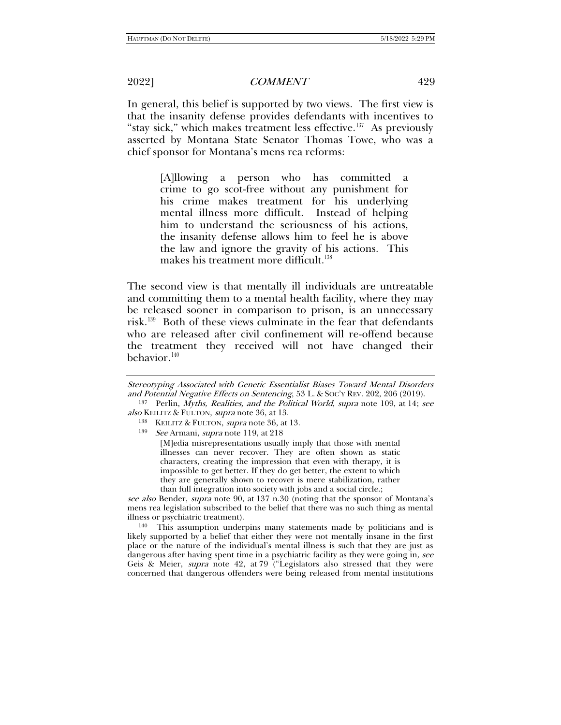In general, this belief is supported by two views. The first view is that the insanity defense provides defendants with incentives to "stay sick," which makes treatment less effective.<sup>[137](#page-24-0)</sup> As previously asserted by Montana State Senator Thomas Towe, who was a chief sponsor for Montana's mens rea reforms:

> [A]llowing a person who has committed a crime to go scot-free without any punishment for his crime makes treatment for his underlying mental illness more difficult. Instead of helping him to understand the seriousness of his actions, the insanity defense allows him to feel he is above the law and ignore the gravity of his actions. This makes his treatment more difficult.<sup>[138](#page-24-1)</sup>

The second view is that mentally ill individuals are untreatable and committing them to a mental health facility, where they may be released sooner in comparison to prison, is an unnecessary risk.[139](#page-24-2) Both of these views culminate in the fear that defendants who are released after civil confinement will re-offend because the treatment they received will not have changed their behavior.<sup>[140](#page-24-3)</sup>

<sup>139</sup> See Armani, supra note [119,](#page-21-5) at 218

[M]edia misrepresentations usually imply that those with mental illnesses can never recover. They are often shown as static characters, creating the impression that even with therapy, it is impossible to get better. If they do get better, the extent to which they are generally shown to recover is mere stabilization, rather than full integration into society with jobs and a social circle.;

see also Bender, supra note [90,](#page-16-8) at 137 n.30 (noting that the sponsor of Montana's mens rea legislation subscribed to the belief that there was no such thing as mental illness or psychiatric treatment).

<span id="page-24-3"></span><sup>140</sup> This assumption underpins many statements made by politicians and is likely supported by a belief that either they were not mentally insane in the first place or the nature of the individual's mental illness is such that they are just as dangerous after having spent time in a psychiatric facility as they were going in, see Geis & Meier, *supra* note [42,](#page-8-0) at 79 ("Legislators also stressed that they were concerned that dangerous offenders were being released from mental institutions

Stereotyping Associated with Genetic Essentialist Biases Toward Mental Disorders and Potential Negative Effects on Sentencing, 53 L. & SOC'Y REV. 202, 206 (2019).

<span id="page-24-2"></span><span id="page-24-1"></span><span id="page-24-0"></span> $137$  Perlin, Myths, Realities, and the Political World, supra note [109,](#page-19-0) at 14; see also KEILITZ & FULTON, supra note [36,](#page-6-6) at 13.

<sup>&</sup>lt;sup>138</sup> KEILITZ & FULTON, *supra* not[e 36,](#page-6-6) at 13.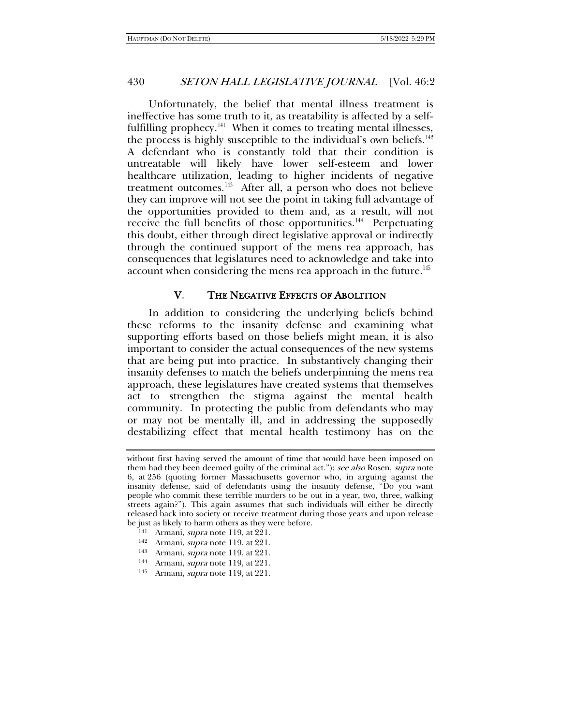Unfortunately, the belief that mental illness treatment is ineffective has some truth to it, as treatability is affected by a self-fulfilling prophecy.<sup>[141](#page-25-0)</sup> When it comes to treating mental illnesses, the process is highly susceptible to the individual's own beliefs. $^{142}$  $^{142}$  $^{142}$ A defendant who is constantly told that their condition is untreatable will likely have lower self-esteem and lower healthcare utilization, leading to higher incidents of negative treatment outcomes.<sup>[143](#page-25-2)</sup> After all, a person who does not believe they can improve will not see the point in taking full advantage of the opportunities provided to them and, as a result, will not receive the full benefits of those opportunities.<sup>[144](#page-25-3)</sup> Perpetuating this doubt, either through direct legislative approval or indirectly through the continued support of the mens rea approach, has consequences that legislatures need to acknowledge and take into account when considering the mens rea approach in the future.<sup>[145](#page-25-4)</sup>

# V. THE NEGATIVE EFFECTS OF ABOLITION

In addition to considering the underlying beliefs behind these reforms to the insanity defense and examining what supporting efforts based on those beliefs might mean, it is also important to consider the actual consequences of the new systems that are being put into practice. In substantively changing their insanity defenses to match the beliefs underpinning the mens rea approach, these legislatures have created systems that themselves act to strengthen the stigma against the mental health community. In protecting the public from defendants who may or may not be mentally ill, and in addressing the supposedly destabilizing effect that mental health testimony has on the

- 
- <span id="page-25-1"></span><span id="page-25-0"></span><sup>142</sup> Armani, supra note [119,](#page-21-5) at 221.
- <span id="page-25-2"></span><sup>143</sup> Armani, supra note [119,](#page-21-5) at 221.
- <span id="page-25-3"></span><sup>144</sup> Armani, supra note [119,](#page-21-5) at 221.
- <span id="page-25-4"></span><sup>145</sup> Armani, supra note [119,](#page-21-5) at 221.

without first having served the amount of time that would have been imposed on them had they been deemed guilty of the criminal act."); see also Rosen, supra note [6,](#page-1-7) at 256 (quoting former Massachusetts governor who, in arguing against the insanity defense, said of defendants using the insanity defense, "Do you want people who commit these terrible murders to be out in a year, two, three, walking streets again?"). This again assumes that such individuals will either be directly released back into society or receive treatment during those years and upon release be just as likely to harm others as they were before.<br><sup>141</sup> Armani, *supra* note [119,](#page-21-5) at 221.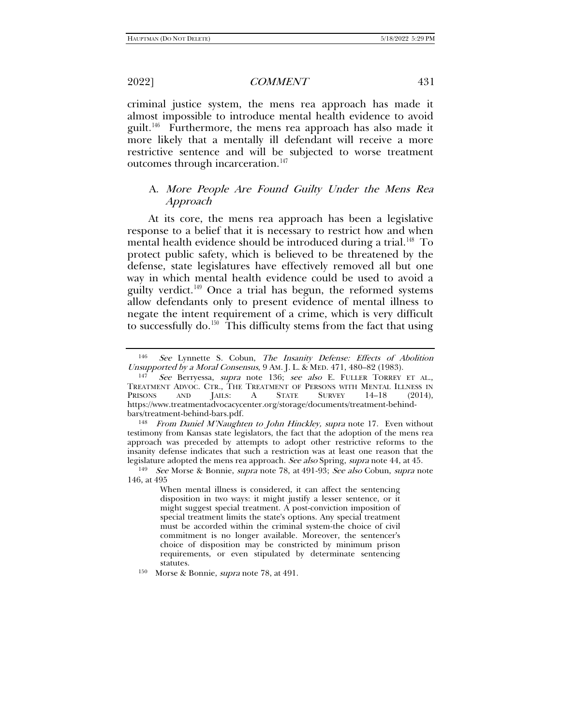<span id="page-26-0"></span>criminal justice system, the mens rea approach has made it almost impossible to introduce mental health evidence to avoid guilt.[146](#page-26-1) Furthermore, the mens rea approach has also made it more likely that a mentally ill defendant will receive a more restrictive sentence and will be subjected to worse treatment outcomes through incarceration.<sup>[147](#page-26-2)</sup>

# A. More People Are Found Guilty Under the Mens Rea Approach

At its core, the mens rea approach has been a legislative response to a belief that it is necessary to restrict how and when mental health evidence should be introduced during a trial.<sup>[148](#page-26-3)</sup> To protect public safety, which is believed to be threatened by the defense, state legislatures have effectively removed all but one way in which mental health evidence could be used to avoid a guilty verdict.[149](#page-26-4) Once a trial has begun, the reformed systems allow defendants only to present evidence of mental illness to negate the intent requirement of a crime, which is very difficult to successfully do.<sup>[150](#page-26-5)</sup> This difficulty stems from the fact that using

<span id="page-26-3"></span><sup>148</sup> From Daniel M'Naughten to John Hinckley, supra note [17.](#page-3-8) Even without testimony from Kansas state legislators, the fact that the adoption of the mens rea approach was preceded by attempts to adopt other restrictive reforms to the insanity defense indicates that such a restriction was at least one reason that the legislature adopted the mens rea approach. See also Spring, supra note [44,](#page-8-5) at 45.

When mental illness is considered, it can affect the sentencing disposition in two ways: it might justify a lesser sentence, or it might suggest special treatment. A post-conviction imposition of special treatment limits the state's options. Any special treatment must be accorded within the criminal system-the choice of civil commitment is no longer available. Moreover, the sentencer's choice of disposition may be constricted by minimum prison requirements, or even stipulated by determinate sentencing statutes.

<span id="page-26-5"></span><sup>150</sup> Morse & Bonnie, supra not[e 78,](#page-13-3) at 491.

<span id="page-26-1"></span><sup>146</sup> See Lynnette S. Cobun, The Insanity Defense: Effects of Abolition Unsupported by a Moral Consensus, 9 AM. J. L. & MED. 471, 480–82 (1983).

<span id="page-26-2"></span><sup>147</sup> See Berryessa, supra note [136;](#page-23-7) see also E. FULLER TORREY ET AL., TREATMENT ADVOC. CTR., THE TREATMENT OF PERSONS WITH MENTAL ILLNESS IN PRISONS AND JAILS: A STATE SURVEY 14–18 (2014), https://www.treatmentadvocacycenter.org/storage/documents/treatment-behindbars/treatment-behind-bars.pdf.

<span id="page-26-4"></span><sup>&</sup>lt;sup>149</sup> See Morse & Bonnie, supra note [78,](#page-13-3) at 491-93; See also Cobun, supra note [146,](#page-26-0) at 495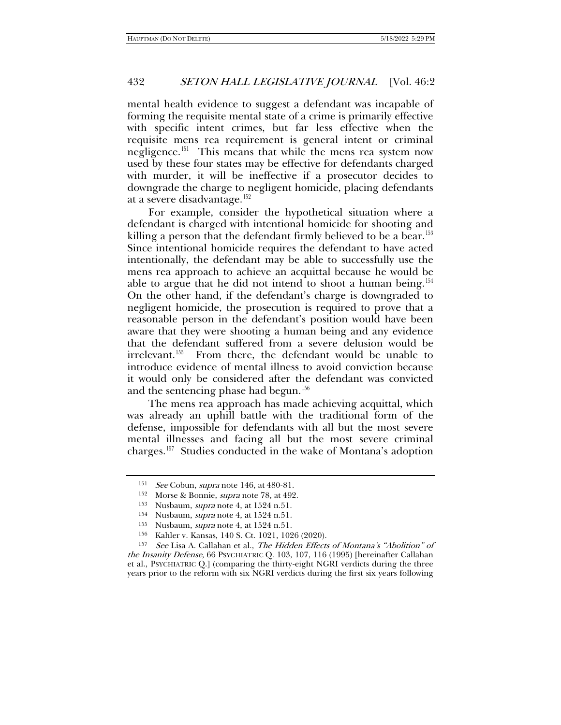mental health evidence to suggest a defendant was incapable of forming the requisite mental state of a crime is primarily effective with specific intent crimes, but far less effective when the requisite mens rea requirement is general intent or criminal negligence.<sup>[151](#page-27-0)</sup> This means that while the mens rea system now used by these four states may be effective for defendants charged with murder, it will be ineffective if a prosecutor decides to downgrade the charge to negligent homicide, placing defendants at a severe disadvantage.[152](#page-27-1)

For example, consider the hypothetical situation where a defendant is charged with intentional homicide for shooting and killing a person that the defendant firmly believed to be a bear.<sup>[153](#page-27-2)</sup> Since intentional homicide requires the defendant to have acted intentionally, the defendant may be able to successfully use the mens rea approach to achieve an acquittal because he would be able to argue that he did not intend to shoot a human being.<sup>[154](#page-27-3)</sup> On the other hand, if the defendant's charge is downgraded to negligent homicide, the prosecution is required to prove that a reasonable person in the defendant's position would have been aware that they were shooting a human being and any evidence that the defendant suffered from a severe delusion would be irrelevant.<sup>155</sup> From there, the defendant would be unable to introduce evidence of mental illness to avoid conviction because it would only be considered after the defendant was convicted and the sentencing phase had begun.<sup>[156](#page-27-5)</sup>

The mens rea approach has made achieving acquittal, which was already an uphill battle with the traditional form of the defense, impossible for defendants with all but the most severe mental illnesses and facing all but the most severe criminal charges[.157](#page-27-6) Studies conducted in the wake of Montana's adoption

<span id="page-27-0"></span><sup>151</sup> See Cobun, supra note [146,](#page-26-0) at 480-81.

<sup>152</sup> Morse & Bonnie, supra not[e 78,](#page-13-3) at 492.

<sup>&</sup>lt;sup>153</sup> Nusbaum, *supra* note [4,](#page-1-0) at 1524 n.51.

<sup>154</sup> Nusbaum, *supra* note [4,](#page-1-0) at 1524 n.51.

<sup>&</sup>lt;sup>155</sup> Nusbaum, *supra* note [4,](#page-1-0) at 1524 n.51.

<sup>156</sup> Kahler v. Kansas, 140 S. Ct. 1021, 1026 (2020).

<span id="page-27-6"></span><span id="page-27-5"></span><span id="page-27-4"></span><span id="page-27-3"></span><span id="page-27-2"></span><span id="page-27-1"></span><sup>157</sup> See Lisa A. Callahan et al., The Hidden Effects of Montana's "Abolition" of the Insanity Defense, 66 PSYCHIATRIC Q. 103, 107, 116 (1995) [hereinafter Callahan et al., PSYCHIATRIC Q.] (comparing the thirty-eight NGRI verdicts during the three years prior to the reform with six NGRI verdicts during the first six years following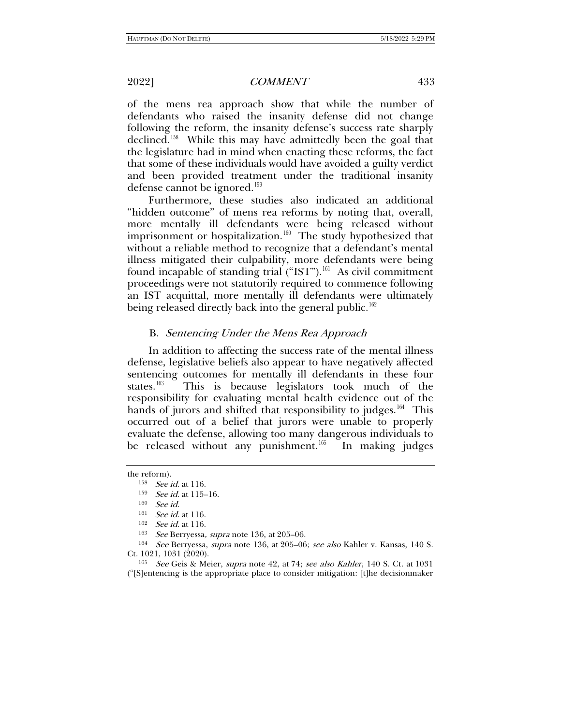of the mens rea approach show that while the number of defendants who raised the insanity defense did not change following the reform, the insanity defense's success rate sharply declined.<sup>158</sup> While this may have admittedly been the goal that the legislature had in mind when enacting these reforms, the fact that some of these individuals would have avoided a guilty verdict and been provided treatment under the traditional insanity defense cannot be ignored.<sup>[159](#page-28-1)</sup>

Furthermore, these studies also indicated an additional "hidden outcome" of mens rea reforms by noting that, overall, more mentally ill defendants were being released without imprisonment or hospitalization.<sup>160</sup> The study hypothesized that without a reliable method to recognize that a defendant's mental illness mitigated their culpability, more defendants were being found incapable of standing trial ("IST").<sup>161</sup> As civil commitment proceedings were not statutorily required to commence following an IST acquittal, more mentally ill defendants were ultimately being released directly back into the general public.<sup>[162](#page-28-4)</sup>

## B. Sentencing Under the Mens Rea Approach

In addition to affecting the success rate of the mental illness defense, legislative beliefs also appear to have negatively affected sentencing outcomes for mentally ill defendants in these four states.<sup>163</sup> This is because legislators took much of the This is because legislators took much of the responsibility for evaluating mental health evidence out of the hands of jurors and shifted that responsibility to judges.<sup>164</sup> This occurred out of a belief that jurors were unable to properly evaluate the defense, allowing too many dangerous individuals to be released without any punishment.<sup>[165](#page-28-7)</sup> In making judges

<span id="page-28-2"></span><span id="page-28-1"></span><span id="page-28-0"></span>the reform).

<sup>158</sup> See id. at 116.

<sup>159</sup> See id. at 115–16.

<sup>160</sup> See id.

<sup>&</sup>lt;sup>161</sup> See id. at 116.

 $162$  *See id.* at 116.

<sup>&</sup>lt;sup>163</sup> See Berryessa, supra note [136,](#page-23-7) at 205-06.

<span id="page-28-6"></span><span id="page-28-5"></span><span id="page-28-4"></span><span id="page-28-3"></span><sup>164</sup> See Berryessa, supra note [136,](#page-23-7) at 205–06; see also Kahler v. Kansas, 140 S. Ct. 1021, 1031 (2020).

<span id="page-28-7"></span><sup>&</sup>lt;sup>165</sup> See Geis & Meier, supra note [42,](#page-8-0) at 74; see also Kahler, 140 S. Ct. at 1031 ("[S]entencing is the appropriate place to consider mitigation: [t]he decisionmaker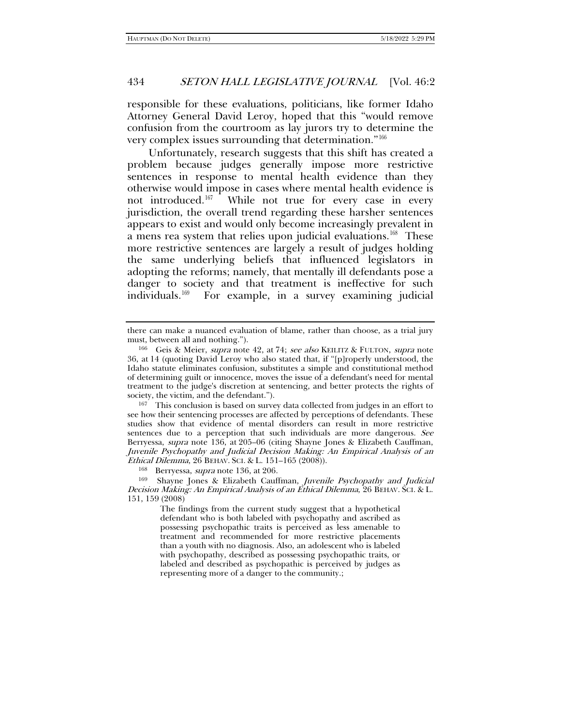responsible for these evaluations, politicians, like former Idaho Attorney General David Leroy, hoped that this "would remove confusion from the courtroom as lay jurors try to determine the very complex issues surrounding that determination."<sup>[166](#page-29-0)</sup>

Unfortunately, research suggests that this shift has created a problem because judges generally impose more restrictive sentences in response to mental health evidence than they otherwise would impose in cases where mental health evidence is not introduced.<sup>[167](#page-29-1)</sup> While not true for every case in every jurisdiction, the overall trend regarding these harsher sentences appears to exist and would only become increasingly prevalent in a mens rea system that relies upon judicial evaluations.[168](#page-29-2) These more restrictive sentences are largely a result of judges holding the same underlying beliefs that influenced legislators in adopting the reforms; namely, that mentally ill defendants pose a danger to society and that treatment is ineffective for such individuals.<sup>169</sup> For example, in a survey examining judicial For example, in a survey examining judicial

<span id="page-29-1"></span><sup>167</sup> This conclusion is based on survey data collected from judges in an effort to see how their sentencing processes are affected by perceptions of defendants. These studies show that evidence of mental disorders can result in more restrictive sentences due to a perception that such individuals are more dangerous. See Berryessa, supra note [136,](#page-23-7) at 205–06 (citing Shayne Jones & Elizabeth Cauffman, Juvenile Psychopathy and Judicial Decision Making: An Empirical Analysis of an Ethical Dilemma, 26 BEHAV. SCI. & L. 151–165 (2008)).

<sup>168</sup> Berryessa, supra note [136,](#page-23-7) at 206.

<span id="page-29-3"></span><span id="page-29-2"></span><sup>169</sup> Shayne Jones & Elizabeth Cauffman, *Juvenile Psychopathy and Judicial* Decision Making: An Empirical Analysis of an Ethical Dilemma, 26 BEHAV. SCI. & L. 151, 159 (2008)

> The findings from the current study suggest that a hypothetical defendant who is both labeled with psychopathy and ascribed as possessing psychopathic traits is perceived as less amenable to treatment and recommended for more restrictive placements than a youth with no diagnosis. Also, an adolescent who is labeled with psychopathy, described as possessing psychopathic traits, or labeled and described as psychopathic is perceived by judges as representing more of a danger to the community.;

there can make a nuanced evaluation of blame, rather than choose, as a trial jury must, between all and nothing.").

<span id="page-29-0"></span><sup>&</sup>lt;sup>166</sup> Geis & Meier, supra note [42,](#page-8-0) at 74; see also KEILITZ & FULTON, supra note [36,](#page-6-6) at 14 (quoting David Leroy who also stated that, if "[p]roperly understood, the Idaho statute eliminates confusion, substitutes a simple and constitutional method of determining guilt or innocence, moves the issue of a defendant's need for mental treatment to the judge's discretion at sentencing, and better protects the rights of society, the victim, and the defendant.").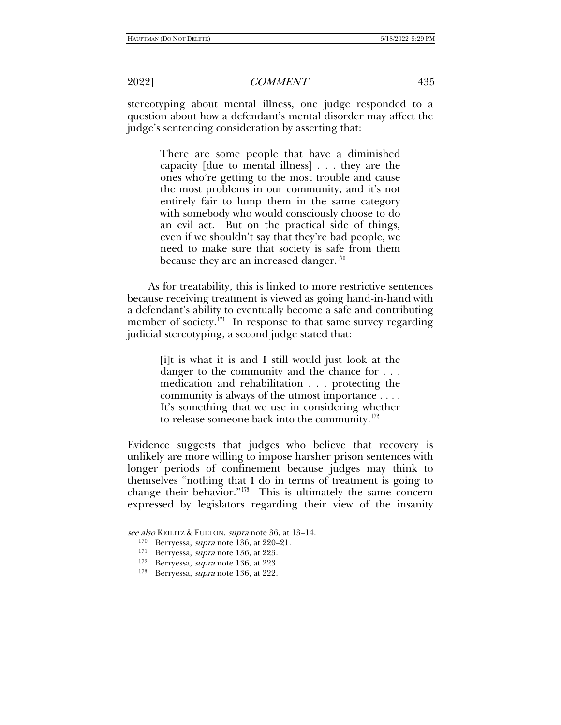stereotyping about mental illness, one judge responded to a question about how a defendant's mental disorder may affect the judge's sentencing consideration by asserting that:

> There are some people that have a diminished capacity [due to mental illness] . . . they are the ones who're getting to the most trouble and cause the most problems in our community, and it's not entirely fair to lump them in the same category with somebody who would consciously choose to do an evil act. But on the practical side of things, even if we shouldn't say that they're bad people, we need to make sure that society is safe from them because they are an increased danger.<sup>[170](#page-30-0)</sup>

As for treatability, this is linked to more restrictive sentences because receiving treatment is viewed as going hand-in-hand with a defendant's ability to eventually become a safe and contributing member of society.<sup>171</sup> In response to that same survey regarding judicial stereotyping, a second judge stated that:

> [i]t is what it is and I still would just look at the danger to the community and the chance for . . . medication and rehabilitation . . . protecting the community is always of the utmost importance . . . . It's something that we use in considering whether to release someone back into the community.[172](#page-30-2)

Evidence suggests that judges who believe that recovery is unlikely are more willing to impose harsher prison sentences with longer periods of confinement because judges may think to themselves "nothing that I do in terms of treatment is going to change their behavior."[173](#page-30-3) This is ultimately the same concern expressed by legislators regarding their view of the insanity

<span id="page-30-3"></span><span id="page-30-2"></span><span id="page-30-1"></span><span id="page-30-0"></span>see also KEILITZ & FULTON, supra note [36,](#page-6-6) at 13-14.

<sup>170</sup> Berryessa, supra note [136,](#page-23-7) at 220–21.

<sup>171</sup> Berryessa, supra note [136,](#page-23-7) at 223.

<sup>&</sup>lt;sup>172</sup> Berryessa, *supra* note [136,](#page-23-7) at 223.

<sup>173</sup> Berryessa, supra note [136,](#page-23-7) at 222.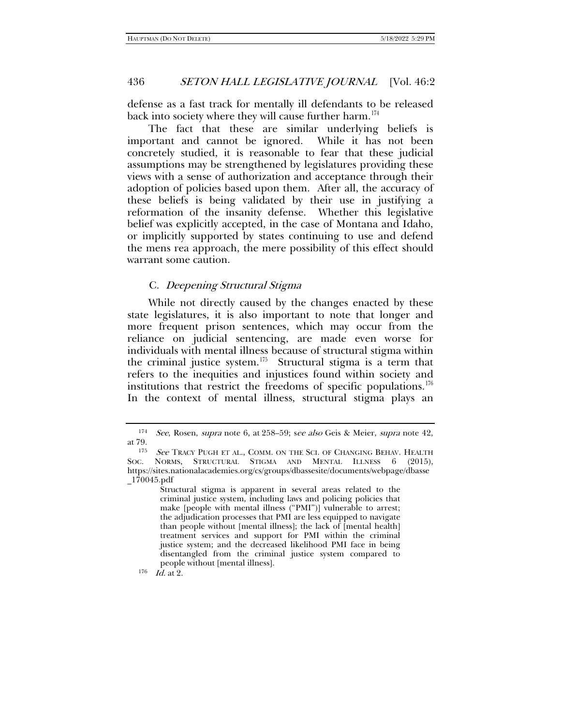defense as a fast track for mentally ill defendants to be released back into society where they will cause further harm.<sup>[174](#page-31-0)</sup>

The fact that these are similar underlying beliefs is important and cannot be ignored. While it has not been concretely studied, it is reasonable to fear that these judicial assumptions may be strengthened by legislatures providing these views with a sense of authorization and acceptance through their adoption of policies based upon them. After all, the accuracy of these beliefs is being validated by their use in justifying a reformation of the insanity defense. Whether this legislative belief was explicitly accepted, in the case of Montana and Idaho, or implicitly supported by states continuing to use and defend the mens rea approach, the mere possibility of this effect should warrant some caution.

## C. Deepening Structural Stigma

While not directly caused by the changes enacted by these state legislatures, it is also important to note that longer and more frequent prison sentences, which may occur from the reliance on judicial sentencing, are made even worse for individuals with mental illness because of structural stigma within the criminal justice system.<sup>[175](#page-31-1)</sup> Structural stigma is a term that refers to the inequities and injustices found within society and institutions that restrict the freedoms of specific populations.<sup>[176](#page-31-2)</sup> In the context of mental illness, structural stigma plays an

<span id="page-31-2"></span> $176$  *Id.* at 2.

<span id="page-31-0"></span><sup>174</sup> See, Rosen, supra note 6, at 258-59; see also Geis & Meier, supra note 42, at 79.

<span id="page-31-1"></span> $175$  See Tracy Pugh et al., COMM. ON THE Sci. OF CHANGING BEHAV. HEALTH SOC. NORMS, STRUCTURAL STIGMA AND MENTAL ILLNESS 6 (2015), https://sites.nationalacademies.org/cs/groups/dbassesite/documents/webpage/dbasse \_170045.pdf

Structural stigma is apparent in several areas related to the criminal justice system, including laws and policing policies that make [people with mental illness ("PMI")] vulnerable to arrest; the adjudication processes that PMI are less equipped to navigate than people without [mental illness]; the lack of [mental health] treatment services and support for PMI within the criminal justice system; and the decreased likelihood PMI face in being disentangled from the criminal justice system compared to people without [mental illness].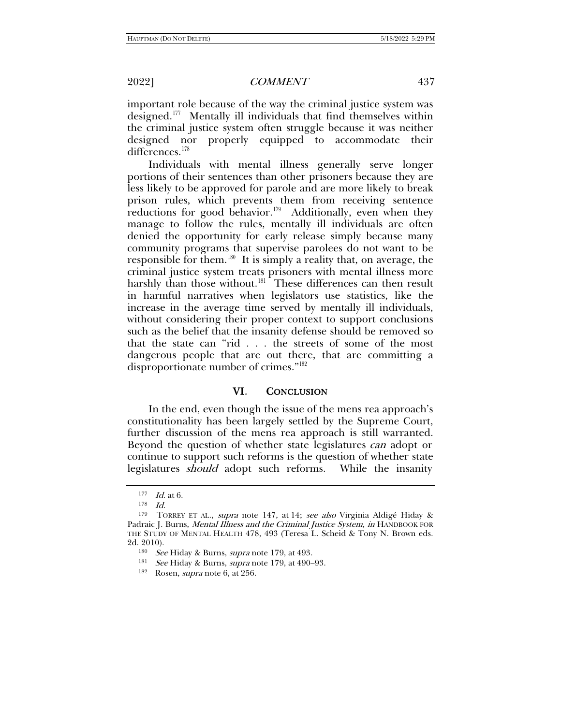important role because of the way the criminal justice system was designed.[177](#page-32-0) Mentally ill individuals that find themselves within the criminal justice system often struggle because it was neither designed nor properly equipped to accommodate their differences.<sup>[178](#page-32-1)</sup>

Individuals with mental illness generally serve longer portions of their sentences than other prisoners because they are less likely to be approved for parole and are more likely to break prison rules, which prevents them from receiving sentence reductions for good behavior.<sup>[179](#page-32-2)</sup> Additionally, even when they manage to follow the rules, mentally ill individuals are often denied the opportunity for early release simply because many community programs that supervise parolees do not want to be responsible for them.[180](#page-32-3) It is simply a reality that, on average, the criminal justice system treats prisoners with mental illness more harshly than those without.<sup>[181](#page-32-4)</sup> These differences can then result in harmful narratives when legislators use statistics, like the increase in the average time served by mentally ill individuals, without considering their proper context to support conclusions such as the belief that the insanity defense should be removed so that the state can "rid . . . the streets of some of the most dangerous people that are out there, that are committing a disproportionate number of crimes."[182](#page-32-5)

## VI. CONCLUSION

In the end, even though the issue of the mens rea approach's constitutionality has been largely settled by the Supreme Court, further discussion of the mens rea approach is still warranted. Beyond the question of whether state legislatures can adopt or continue to support such reforms is the question of whether state legislatures should adopt such reforms. While the insanity

 $177$  *Id.* at 6.

<sup>178</sup> Id.

<span id="page-32-4"></span><span id="page-32-3"></span><span id="page-32-2"></span><span id="page-32-1"></span><span id="page-32-0"></span><sup>179</sup> TORREY ET AL., supra note 147, at 14; see also Virginia Aldigé Hiday & Padraic J. Burns, Mental Illness and the Criminal Justice System, in HANDBOOK FOR THE STUDY OF MENTAL HEALTH 478, 493 (Teresa L. Scheid & Tony N. Brown eds. 2d. 2010).

<sup>&</sup>lt;sup>180</sup> *See* Hiday & Burns, *supra* note 179, at 493.<br><sup>181</sup> *See* Hiday & Burns, *supra* note 179, at 490–93.

<span id="page-32-5"></span><sup>182</sup> Rosen, supra note 6, at 256.